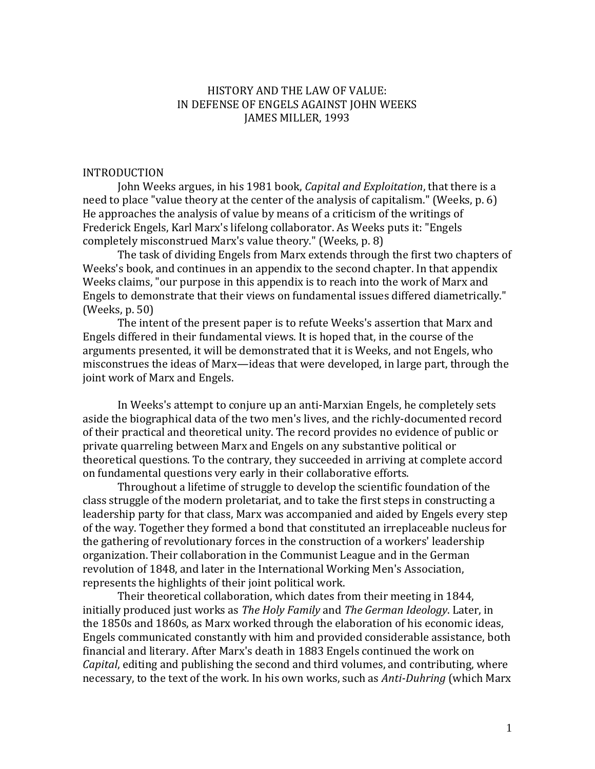# HISTORY AND THE LAW OF VALUE: IN DEFENSE OF ENGELS AGAINST JOHN WEEKS JAMES MILLER, 1993

# INTRODUCTION

John Weeks argues, in his 1981 book, *Capital and Exploitation*, that there is a need to place "value theory at the center of the analysis of capitalism." (Weeks, p. 6) He approaches the analysis of value by means of a criticism of the writings of Frederick Engels, Karl Marx's lifelong collaborator. As Weeks puts it: "Engels completely misconstrued Marx's value theory." (Weeks, p. 8)

The task of dividing Engels from Marx extends through the first two chapters of Weeks's book, and continues in an appendix to the second chapter. In that appendix Weeks claims, "our purpose in this appendix is to reach into the work of Marx and Engels to demonstrate that their views on fundamental issues differed diametrically." (Weeks, p. 50)

The intent of the present paper is to refute Weeks's assertion that Marx and Engels differed in their fundamental views. It is hoped that, in the course of the arguments presented, it will be demonstrated that it is Weeks, and not Engels, who misconstrues the ideas of Marx—ideas that were developed, in large part, through the joint work of Marx and Engels.

In Weeks's attempt to conjure up an anti-Marxian Engels, he completely sets aside the biographical data of the two men's lives, and the richly-documented record of their practical and theoretical unity. The record provides no evidence of public or private quarreling between Marx and Engels on any substantive political or theoretical questions. To the contrary, they succeeded in arriving at complete accord on fundamental questions very early in their collaborative efforts.

Throughout a lifetime of struggle to develop the scientific foundation of the class struggle of the modern proletariat, and to take the first steps in constructing a leadership party for that class, Marx was accompanied and aided by Engels every step of the way. Together they formed a bond that constituted an irreplaceable nucleus for the gathering of revolutionary forces in the construction of a workers' leadership organization. Their collaboration in the Communist League and in the German revolution of 1848, and later in the International Working Men's Association, represents the highlights of their joint political work.

Their theoretical collaboration, which dates from their meeting in 1844, initially produced just works as *The Holy Family* and *The German Ideology*. Later, in the 1850s and 1860s, as Marx worked through the elaboration of his economic ideas, Engels communicated constantly with him and provided considerable assistance, both financial and literary. After Marx's death in 1883 Engels continued the work on *Capital*, editing and publishing the second and third volumes, and contributing, where necessary, to the text of the work. In his own works, such as *Anti-Duhring* (which Marx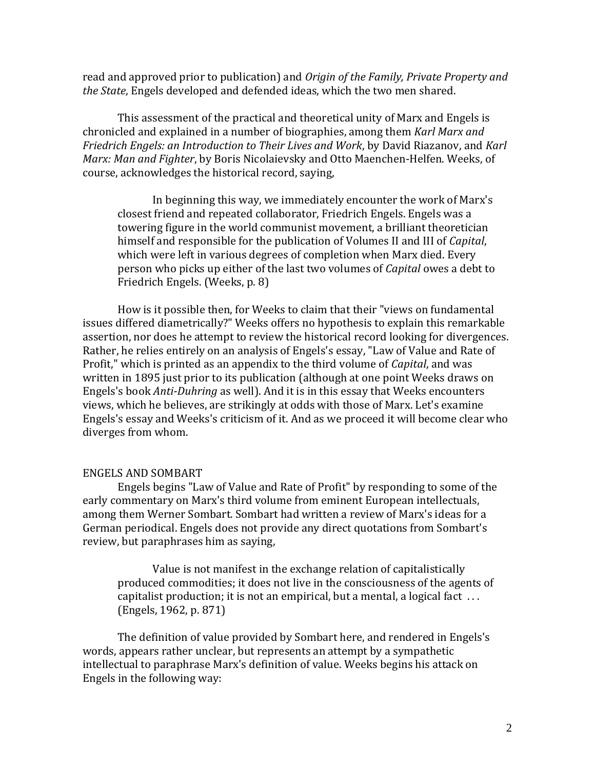read and approved prior to publication) and *Origin of the Family, Private Property and the State*, Engels developed and defended ideas, which the two men shared.

This assessment of the practical and theoretical unity of Marx and Engels is chronicled and explained in a number of biographies, among them *Karl Marx and Friedrich Engels: an Introduction to Their Lives and Work*, by David Riazanov, and *Karl Marx: Man and Fighter*, by Boris Nicolaievsky and Otto Maenchen-Helfen. Weeks, of course, acknowledges the historical record, saying,

In beginning this way, we immediately encounter the work of Marx's closest friend and repeated collaborator, Friedrich Engels. Engels was a towering figure in the world communist movement, a brilliant theoretician himself and responsible for the publication of Volumes II and III of *Capital*, which were left in various degrees of completion when Marx died. Every person who picks up either of the last two volumes of *Capital* owes a debt to Friedrich Engels. (Weeks, p. 8)

How is it possible then, for Weeks to claim that their "views on fundamental issues differed diametrically?" Weeks offers no hypothesis to explain this remarkable assertion, nor does he attempt to review the historical record looking for divergences. Rather, he relies entirely on an analysis of Engels's essay, "Law of Value and Rate of Profit," which is printed as an appendix to the third volume of *Capital*, and was written in 1895 just prior to its publication (although at one point Weeks draws on Engels's book *Anti-Duhring* as well). And it is in this essay that Weeks encounters views, which he believes, are strikingly at odds with those of Marx. Let's examine Engels's essay and Weeks's criticism of it. And as we proceed it will become clear who diverges from whom.

### ENGELS AND SOMBART

Engels begins "Law of Value and Rate of Profit" by responding to some of the early commentary on Marx's third volume from eminent European intellectuals, among them Werner Sombart. Sombart had written a review of Marx's ideas for a German periodical. Engels does not provide any direct quotations from Sombart's review, but paraphrases him as saying,

Value is not manifest in the exchange relation of capitalistically produced commodities; it does not live in the consciousness of the agents of capitalist production; it is not an empirical, but a mental, a logical fact . . . (Engels, 1962, p. 871)

The definition of value provided by Sombart here, and rendered in Engels's words, appears rather unclear, but represents an attempt by a sympathetic intellectual to paraphrase Marx's definition of value. Weeks begins his attack on Engels in the following way: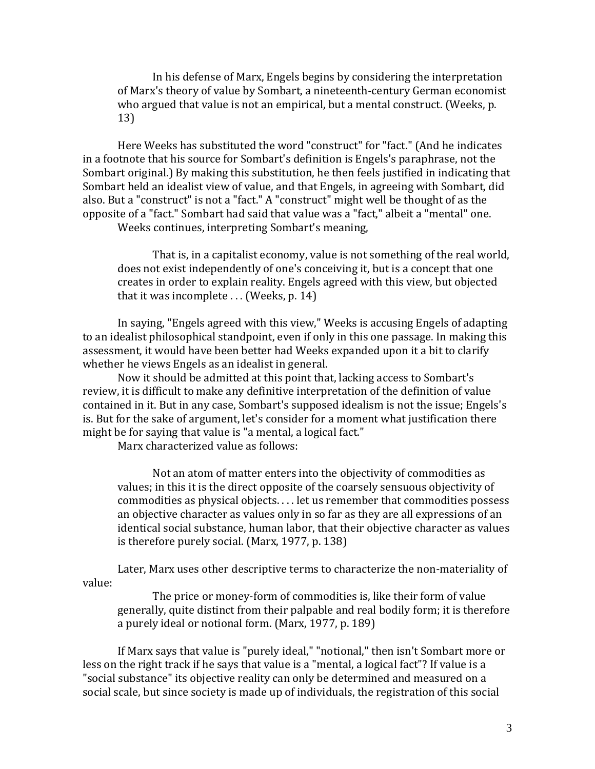In his defense of Marx, Engels begins by considering the interpretation of Marx's theory of value by Sombart, a nineteenth-century German economist who argued that value is not an empirical, but a mental construct. (Weeks, p. 13)

Here Weeks has substituted the word "construct" for "fact." (And he indicates in a footnote that his source for Sombart's definition is Engels's paraphrase, not the Sombart original.) By making this substitution, he then feels justified in indicating that Sombart held an idealist view of value, and that Engels, in agreeing with Sombart, did also. But a "construct" is not a "fact." A "construct" might well be thought of as the opposite of a "fact." Sombart had said that value was a "fact," albeit a "mental" one.

Weeks continues, interpreting Sombart's meaning,

That is, in a capitalist economy, value is not something of the real world, does not exist independently of one's conceiving it, but is a concept that one creates in order to explain reality. Engels agreed with this view, but objected that it was incomplete . . . (Weeks, p. 14)

In saying, "Engels agreed with this view," Weeks is accusing Engels of adapting to an idealist philosophical standpoint, even if only in this one passage. In making this assessment, it would have been better had Weeks expanded upon it a bit to clarify whether he views Engels as an idealist in general.

Now it should be admitted at this point that, lacking access to Sombart's review, it is difficult to make any definitive interpretation of the definition of value contained in it. But in any case, Sombart's supposed idealism is not the issue; Engels's is. But for the sake of argument, let's consider for a moment what justification there might be for saying that value is "a mental, a logical fact."

Marx characterized value as follows:

Not an atom of matter enters into the objectivity of commodities as values; in this it is the direct opposite of the coarsely sensuous objectivity of commodities as physical objects. . . . let us remember that commodities possess an objective character as values only in so far as they are all expressions of an identical social substance, human labor, that their objective character as values is therefore purely social. (Marx, 1977, p. 138)

Later, Marx uses other descriptive terms to characterize the non-materiality of value:

The price or money-form of commodities is, like their form of value generally, quite distinct from their palpable and real bodily form; it is therefore a purely ideal or notional form. (Marx, 1977, p. 189)

If Marx says that value is "purely ideal," "notional," then isn't Sombart more or less on the right track if he says that value is a "mental, a logical fact"? If value is a "social substance" its objective reality can only be determined and measured on a social scale, but since society is made up of individuals, the registration of this social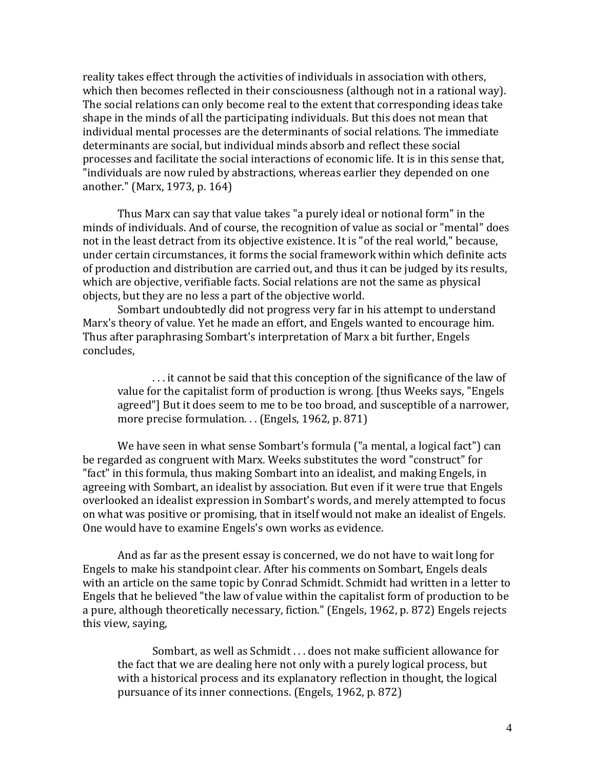reality takes effect through the activities of individuals in association with others, which then becomes reflected in their consciousness (although not in a rational way). The social relations can only become real to the extent that corresponding ideas take shape in the minds of all the participating individuals. But this does not mean that individual mental processes are the determinants of social relations. The immediate determinants are social, but individual minds absorb and reflect these social processes and facilitate the social interactions of economic life. It is in this sense that, "individuals are now ruled by abstractions, whereas earlier they depended on one another." (Marx, 1973, p. 164)

Thus Marx can say that value takes "a purely ideal or notional form" in the minds of individuals. And of course, the recognition of value as social or "mental" does not in the least detract from its objective existence. It is "of the real world," because, under certain circumstances, it forms the social framework within which definite acts of production and distribution are carried out, and thus it can be judged by its results, which are objective, verifiable facts. Social relations are not the same as physical objects, but they are no less a part of the objective world.

Sombart undoubtedly did not progress very far in his attempt to understand Marx's theory of value. Yet he made an effort, and Engels wanted to encourage him. Thus after paraphrasing Sombart's interpretation of Marx a bit further, Engels concludes,

. . . it cannot be said that this conception of the significance of the law of value for the capitalist form of production is wrong. [thus Weeks says, "Engels agreed"] But it does seem to me to be too broad, and susceptible of a narrower, more precise formulation. . . (Engels, 1962, p. 871)

We have seen in what sense Sombart's formula ("a mental, a logical fact") can be regarded as congruent with Marx. Weeks substitutes the word "construct" for "fact" in this formula, thus making Sombart into an idealist, and making Engels, in agreeing with Sombart, an idealist by association. But even if it were true that Engels overlooked an idealist expression in Sombart's words, and merely attempted to focus on what was positive or promising, that in itself would not make an idealist of Engels. One would have to examine Engels's own works as evidence.

And as far as the present essay is concerned, we do not have to wait long for Engels to make his standpoint clear. After his comments on Sombart, Engels deals with an article on the same topic by Conrad Schmidt. Schmidt had written in a letter to Engels that he believed "the law of value within the capitalist form of production to be a pure, although theoretically necessary, fiction." (Engels, 1962, p. 872) Engels rejects this view, saying,

Sombart, as well as Schmidt . . . does not make sufficient allowance for the fact that we are dealing here not only with a purely logical process, but with a historical process and its explanatory reflection in thought, the logical pursuance of its inner connections. (Engels, 1962, p. 872)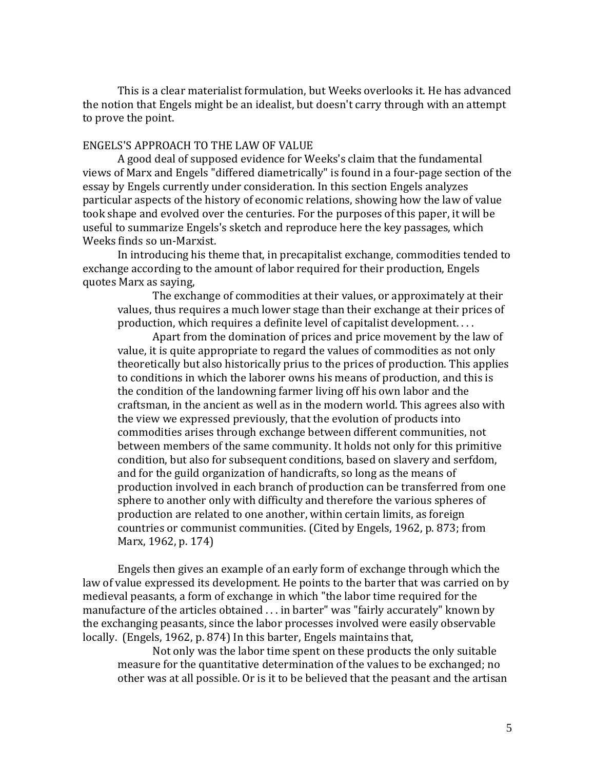This is a clear materialist formulation, but Weeks overlooks it. He has advanced the notion that Engels might be an idealist, but doesn't carry through with an attempt to prove the point.

# ENGELS'S APPROACH TO THE LAW OF VALUE

A good deal of supposed evidence for Weeks's claim that the fundamental views of Marx and Engels "differed diametrically" is found in a four-page section of the essay by Engels currently under consideration. In this section Engels analyzes particular aspects of the history of economic relations, showing how the law of value took shape and evolved over the centuries. For the purposes of this paper, it will be useful to summarize Engels's sketch and reproduce here the key passages, which Weeks finds so un-Marxist.

In introducing his theme that, in precapitalist exchange, commodities tended to exchange according to the amount of labor required for their production, Engels quotes Marx as saying,

The exchange of commodities at their values, or approximately at their values, thus requires a much lower stage than their exchange at their prices of production, which requires a definite level of capitalist development. . . .

Apart from the domination of prices and price movement by the law of value, it is quite appropriate to regard the values of commodities as not only theoretically but also historically prius to the prices of production. This applies to conditions in which the laborer owns his means of production, and this is the condition of the landowning farmer living off his own labor and the craftsman, in the ancient as well as in the modern world. This agrees also with the view we expressed previously, that the evolution of products into commodities arises through exchange between different communities, not between members of the same community. It holds not only for this primitive condition, but also for subsequent conditions, based on slavery and serfdom, and for the guild organization of handicrafts, so long as the means of production involved in each branch of production can be transferred from one sphere to another only with difficulty and therefore the various spheres of production are related to one another, within certain limits, as foreign countries or communist communities. (Cited by Engels, 1962, p. 873; from Marx, 1962, p. 174)

Engels then gives an example of an early form of exchange through which the law of value expressed its development. He points to the barter that was carried on by medieval peasants, a form of exchange in which "the labor time required for the manufacture of the articles obtained . . . in barter" was "fairly accurately" known by the exchanging peasants, since the labor processes involved were easily observable locally. (Engels, 1962, p. 874) In this barter, Engels maintains that,

Not only was the labor time spent on these products the only suitable measure for the quantitative determination of the values to be exchanged; no other was at all possible. Or is it to be believed that the peasant and the artisan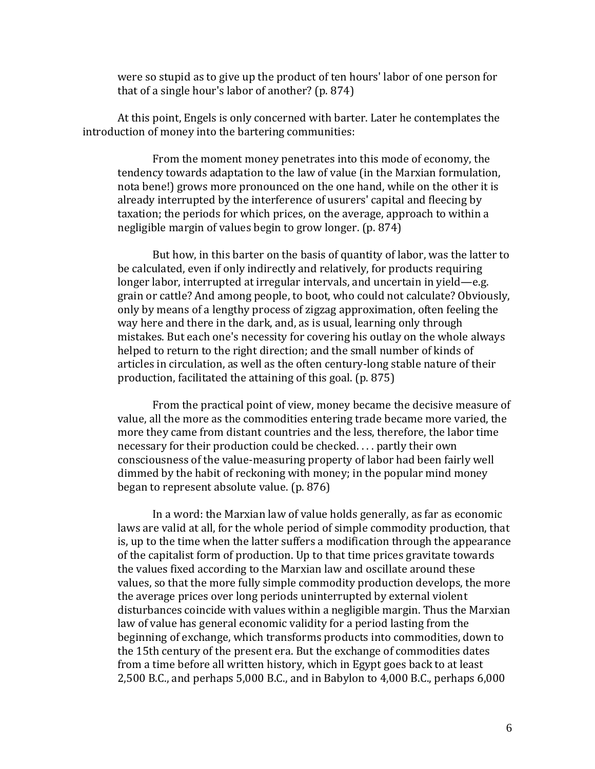were so stupid as to give up the product of ten hours' labor of one person for that of a single hour's labor of another? (p. 874)

At this point, Engels is only concerned with barter. Later he contemplates the introduction of money into the bartering communities:

From the moment money penetrates into this mode of economy, the tendency towards adaptation to the law of value (in the Marxian formulation, nota bene!) grows more pronounced on the one hand, while on the other it is already interrupted by the interference of usurers' capital and fleecing by taxation; the periods for which prices, on the average, approach to within a negligible margin of values begin to grow longer. (p. 874)

But how, in this barter on the basis of quantity of labor, was the latter to be calculated, even if only indirectly and relatively, for products requiring longer labor, interrupted at irregular intervals, and uncertain in yield—e.g. grain or cattle? And among people, to boot, who could not calculate? Obviously, only by means of a lengthy process of zigzag approximation, often feeling the way here and there in the dark, and, as is usual, learning only through mistakes. But each one's necessity for covering his outlay on the whole always helped to return to the right direction; and the small number of kinds of articles in circulation, as well as the often century-long stable nature of their production, facilitated the attaining of this goal. (p. 875)

From the practical point of view, money became the decisive measure of value, all the more as the commodities entering trade became more varied, the more they came from distant countries and the less, therefore, the labor time necessary for their production could be checked. . . . partly their own consciousness of the value-measuring property of labor had been fairly well dimmed by the habit of reckoning with money; in the popular mind money began to represent absolute value. (p. 876)

In a word: the Marxian law of value holds generally, as far as economic laws are valid at all, for the whole period of simple commodity production, that is, up to the time when the latter suffers a modification through the appearance of the capitalist form of production. Up to that time prices gravitate towards the values fixed according to the Marxian law and oscillate around these values, so that the more fully simple commodity production develops, the more the average prices over long periods uninterrupted by external violent disturbances coincide with values within a negligible margin. Thus the Marxian law of value has general economic validity for a period lasting from the beginning of exchange, which transforms products into commodities, down to the 15th century of the present era. But the exchange of commodities dates from a time before all written history, which in Egypt goes back to at least 2,500 B.C., and perhaps 5,000 B.C., and in Babylon to 4,000 B.C., perhaps 6,000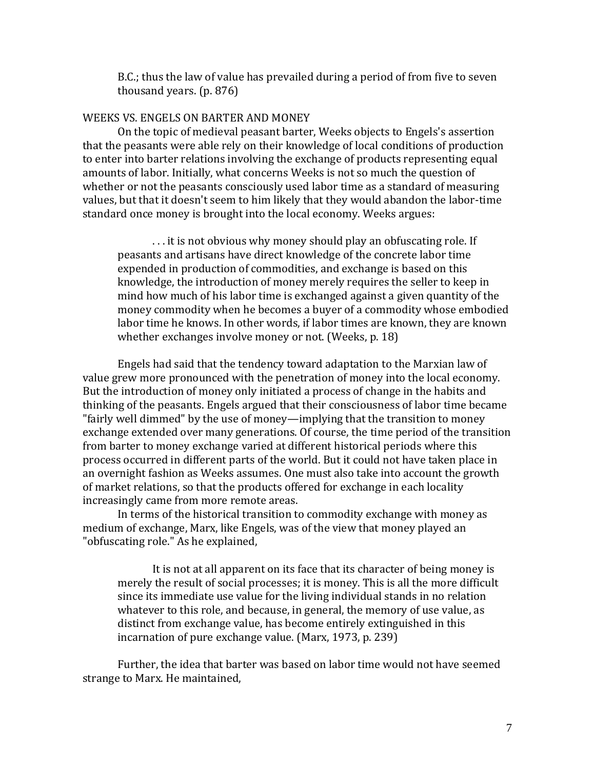B.C.; thus the law of value has prevailed during a period of from five to seven thousand years. (p. 876)

# WEEKS VS. ENGELS ON BARTER AND MONEY

On the topic of medieval peasant barter, Weeks objects to Engels's assertion that the peasants were able rely on their knowledge of local conditions of production to enter into barter relations involving the exchange of products representing equal amounts of labor. Initially, what concerns Weeks is not so much the question of whether or not the peasants consciously used labor time as a standard of measuring values, but that it doesn't seem to him likely that they would abandon the labor-time standard once money is brought into the local economy. Weeks argues:

. . . it is not obvious why money should play an obfuscating role. If peasants and artisans have direct knowledge of the concrete labor time expended in production of commodities, and exchange is based on this knowledge, the introduction of money merely requires the seller to keep in mind how much of his labor time is exchanged against a given quantity of the money commodity when he becomes a buyer of a commodity whose embodied labor time he knows. In other words, if labor times are known, they are known whether exchanges involve money or not. (Weeks, p. 18)

Engels had said that the tendency toward adaptation to the Marxian law of value grew more pronounced with the penetration of money into the local economy. But the introduction of money only initiated a process of change in the habits and thinking of the peasants. Engels argued that their consciousness of labor time became "fairly well dimmed" by the use of money—implying that the transition to money exchange extended over many generations. Of course, the time period of the transition from barter to money exchange varied at different historical periods where this process occurred in different parts of the world. But it could not have taken place in an overnight fashion as Weeks assumes. One must also take into account the growth of market relations, so that the products offered for exchange in each locality increasingly came from more remote areas.

In terms of the historical transition to commodity exchange with money as medium of exchange, Marx, like Engels, was of the view that money played an "obfuscating role." As he explained,

It is not at all apparent on its face that its character of being money is merely the result of social processes; it is money. This is all the more difficult since its immediate use value for the living individual stands in no relation whatever to this role, and because, in general, the memory of use value, as distinct from exchange value, has become entirely extinguished in this incarnation of pure exchange value. (Marx, 1973, p. 239)

Further, the idea that barter was based on labor time would not have seemed strange to Marx. He maintained,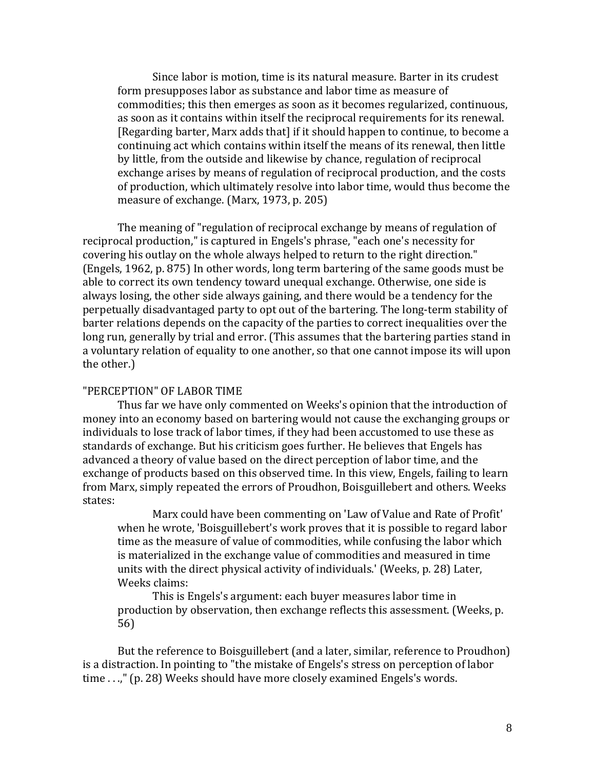Since labor is motion, time is its natural measure. Barter in its crudest form presupposes labor as substance and labor time as measure of commodities; this then emerges as soon as it becomes regularized, continuous, as soon as it contains within itself the reciprocal requirements for its renewal. [Regarding barter, Marx adds that] if it should happen to continue, to become a continuing act which contains within itself the means of its renewal, then little by little, from the outside and likewise by chance, regulation of reciprocal exchange arises by means of regulation of reciprocal production, and the costs of production, which ultimately resolve into labor time, would thus become the measure of exchange. (Marx, 1973, p. 205)

The meaning of "regulation of reciprocal exchange by means of regulation of reciprocal production," is captured in Engels's phrase, "each one's necessity for covering his outlay on the whole always helped to return to the right direction." (Engels, 1962, p. 875) In other words, long term bartering of the same goods must be able to correct its own tendency toward unequal exchange. Otherwise, one side is always losing, the other side always gaining, and there would be a tendency for the perpetually disadvantaged party to opt out of the bartering. The long-term stability of barter relations depends on the capacity of the parties to correct inequalities over the long run, generally by trial and error. (This assumes that the bartering parties stand in a voluntary relation of equality to one another, so that one cannot impose its will upon the other.)

## "PERCEPTION" OF LABOR TIME

Thus far we have only commented on Weeks's opinion that the introduction of money into an economy based on bartering would not cause the exchanging groups or individuals to lose track of labor times, if they had been accustomed to use these as standards of exchange. But his criticism goes further. He believes that Engels has advanced a theory of value based on the direct perception of labor time, and the exchange of products based on this observed time. In this view, Engels, failing to learn from Marx, simply repeated the errors of Proudhon, Boisguillebert and others. Weeks states:

Marx could have been commenting on 'Law of Value and Rate of Profit' when he wrote, 'Boisguillebert's work proves that it is possible to regard labor time as the measure of value of commodities, while confusing the labor which is materialized in the exchange value of commodities and measured in time units with the direct physical activity of individuals.' (Weeks, p. 28) Later, Weeks claims:

This is Engels's argument: each buyer measures labor time in production by observation, then exchange reflects this assessment. (Weeks, p. 56)

But the reference to Boisguillebert (and a later, similar, reference to Proudhon) is a distraction. In pointing to "the mistake of Engels's stress on perception of labor time . . .," (p. 28) Weeks should have more closely examined Engels's words.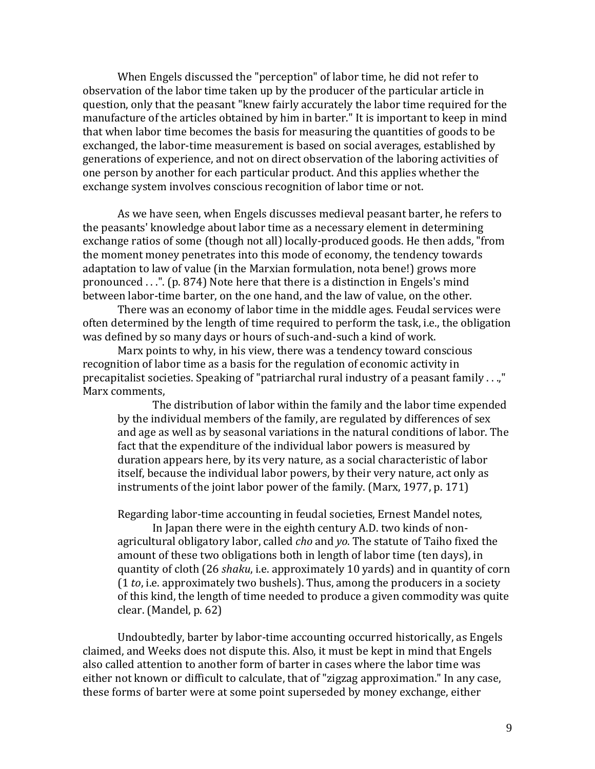When Engels discussed the "perception" of labor time, he did not refer to observation of the labor time taken up by the producer of the particular article in question, only that the peasant "knew fairly accurately the labor time required for the manufacture of the articles obtained by him in barter." It is important to keep in mind that when labor time becomes the basis for measuring the quantities of goods to be exchanged, the labor-time measurement is based on social averages, established by generations of experience, and not on direct observation of the laboring activities of one person by another for each particular product. And this applies whether the exchange system involves conscious recognition of labor time or not.

As we have seen, when Engels discusses medieval peasant barter, he refers to the peasants' knowledge about labor time as a necessary element in determining exchange ratios of some (though not all) locally-produced goods. He then adds, "from the moment money penetrates into this mode of economy, the tendency towards adaptation to law of value (in the Marxian formulation, nota bene!) grows more pronounced . . .". (p. 874) Note here that there is a distinction in Engels's mind between labor-time barter, on the one hand, and the law of value, on the other.

There was an economy of labor time in the middle ages. Feudal services were often determined by the length of time required to perform the task, i.e., the obligation was defined by so many days or hours of such-and-such a kind of work.

Marx points to why, in his view, there was a tendency toward conscious recognition of labor time as a basis for the regulation of economic activity in precapitalist societies. Speaking of "patriarchal rural industry of a peasant family . . .," Marx comments,

The distribution of labor within the family and the labor time expended by the individual members of the family, are regulated by differences of sex and age as well as by seasonal variations in the natural conditions of labor. The fact that the expenditure of the individual labor powers is measured by duration appears here, by its very nature, as a social characteristic of labor itself, because the individual labor powers, by their very nature, act only as instruments of the joint labor power of the family. (Marx, 1977, p. 171)

Regarding labor-time accounting in feudal societies, Ernest Mandel notes,

In Japan there were in the eighth century A.D. two kinds of nonagricultural obligatory labor, called *cho* and *yo*. The statute of Taiho fixed the amount of these two obligations both in length of labor time (ten days), in quantity of cloth (26 *shaku*, i.e. approximately 10 yards) and in quantity of corn (1 *to*, i.e. approximately two bushels). Thus, among the producers in a society of this kind, the length of time needed to produce a given commodity was quite clear. (Mandel, p. 62)

Undoubtedly, barter by labor-time accounting occurred historically, as Engels claimed, and Weeks does not dispute this. Also, it must be kept in mind that Engels also called attention to another form of barter in cases where the labor time was either not known or difficult to calculate, that of "zigzag approximation." In any case, these forms of barter were at some point superseded by money exchange, either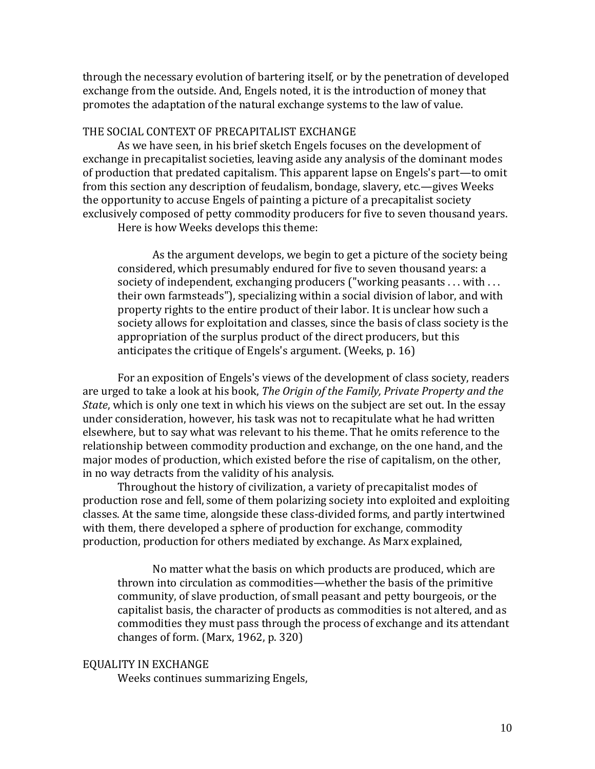through the necessary evolution of bartering itself, or by the penetration of developed exchange from the outside. And, Engels noted, it is the introduction of money that promotes the adaptation of the natural exchange systems to the law of value.

## THE SOCIAL CONTEXT OF PRECAPITALIST EXCHANGE

As we have seen, in his brief sketch Engels focuses on the development of exchange in precapitalist societies, leaving aside any analysis of the dominant modes of production that predated capitalism. This apparent lapse on Engels's part—to omit from this section any description of feudalism, bondage, slavery, etc.—gives Weeks the opportunity to accuse Engels of painting a picture of a precapitalist society exclusively composed of petty commodity producers for five to seven thousand years.

Here is how Weeks develops this theme:

As the argument develops, we begin to get a picture of the society being considered, which presumably endured for five to seven thousand years: a society of independent, exchanging producers ("working peasants . . . with . . . their own farmsteads"), specializing within a social division of labor, and with property rights to the entire product of their labor. It is unclear how such a society allows for exploitation and classes, since the basis of class society is the appropriation of the surplus product of the direct producers, but this anticipates the critique of Engels's argument. (Weeks, p. 16)

For an exposition of Engels's views of the development of class society, readers are urged to take a look at his book, *The Origin of the Family, Private Property and the State*, which is only one text in which his views on the subject are set out. In the essay under consideration, however, his task was not to recapitulate what he had written elsewhere, but to say what was relevant to his theme. That he omits reference to the relationship between commodity production and exchange, on the one hand, and the major modes of production, which existed before the rise of capitalism, on the other, in no way detracts from the validity of his analysis.

Throughout the history of civilization, a variety of precapitalist modes of production rose and fell, some of them polarizing society into exploited and exploiting classes. At the same time, alongside these class-divided forms, and partly intertwined with them, there developed a sphere of production for exchange, commodity production, production for others mediated by exchange. As Marx explained,

No matter what the basis on which products are produced, which are thrown into circulation as commodities—whether the basis of the primitive community, of slave production, of small peasant and petty bourgeois, or the capitalist basis, the character of products as commodities is not altered, and as commodities they must pass through the process of exchange and its attendant changes of form. (Marx, 1962, p. 320)

### EQUALITY IN EXCHANGE

Weeks continues summarizing Engels,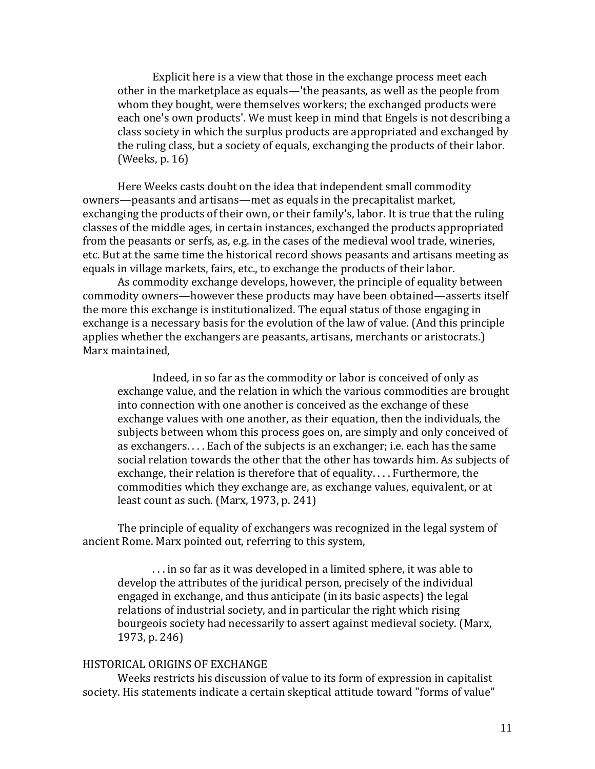Explicit here is a view that those in the exchange process meet each other in the marketplace as equals—'the peasants, as well as the people from whom they bought, were themselves workers; the exchanged products were each one's own products'. We must keep in mind that Engels is not describing a class society in which the surplus products are appropriated and exchanged by the ruling class, but a society of equals, exchanging the products of their labor. (Weeks, p. 16)

Here Weeks casts doubt on the idea that independent small commodity owners—peasants and artisans—met as equals in the precapitalist market, exchanging the products of their own, or their family's, labor. It is true that the ruling classes of the middle ages, in certain instances, exchanged the products appropriated from the peasants or serfs, as, e.g. in the cases of the medieval wool trade, wineries, etc. But at the same time the historical record shows peasants and artisans meeting as equals in village markets, fairs, etc., to exchange the products of their labor.

As commodity exchange develops, however, the principle of equality between commodity owners—however these products may have been obtained—asserts itself the more this exchange is institutionalized. The equal status of those engaging in exchange is a necessary basis for the evolution of the law of value. (And this principle applies whether the exchangers are peasants, artisans, merchants or aristocrats.) Marx maintained,

Indeed, in so far as the commodity or labor is conceived of only as exchange value, and the relation in which the various commodities are brought into connection with one another is conceived as the exchange of these exchange values with one another, as their equation, then the individuals, the subjects between whom this process goes on, are simply and only conceived of as exchangers. . . . Each of the subjects is an exchanger; i.e. each has the same social relation towards the other that the other has towards him. As subjects of exchange, their relation is therefore that of equality. . . . Furthermore, the commodities which they exchange are, as exchange values, equivalent, or at least count as such. (Marx, 1973, p. 241)

The principle of equality of exchangers was recognized in the legal system of ancient Rome. Marx pointed out, referring to this system,

. . . in so far as it was developed in a limited sphere, it was able to develop the attributes of the juridical person, precisely of the individual engaged in exchange, and thus anticipate (in its basic aspects) the legal relations of industrial society, and in particular the right which rising bourgeois society had necessarily to assert against medieval society. (Marx, 1973, p. 246)

### HISTORICAL ORIGINS OF EXCHANGE

Weeks restricts his discussion of value to its form of expression in capitalist society. His statements indicate a certain skeptical attitude toward "forms of value"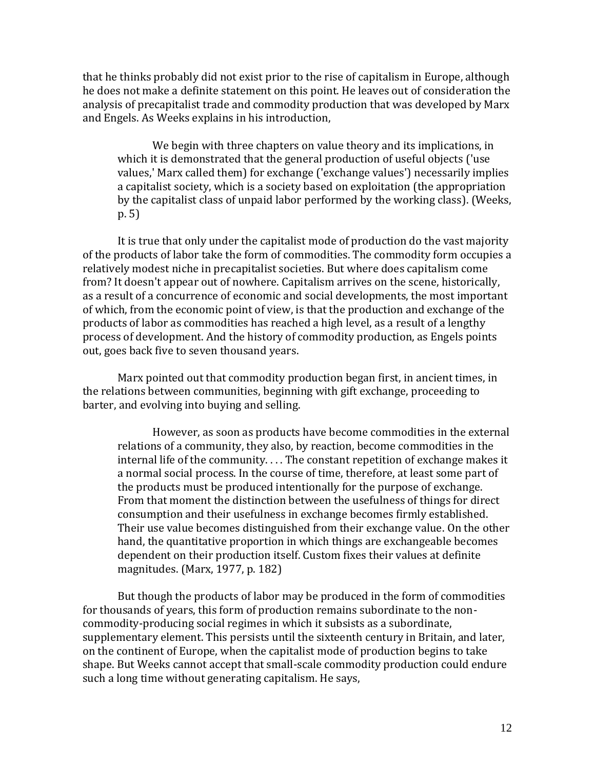that he thinks probably did not exist prior to the rise of capitalism in Europe, although he does not make a definite statement on this point. He leaves out of consideration the analysis of precapitalist trade and commodity production that was developed by Marx and Engels. As Weeks explains in his introduction,

We begin with three chapters on value theory and its implications, in which it is demonstrated that the general production of useful objects ('use values,' Marx called them) for exchange ('exchange values') necessarily implies a capitalist society, which is a society based on exploitation (the appropriation by the capitalist class of unpaid labor performed by the working class). (Weeks, p. 5)

It is true that only under the capitalist mode of production do the vast majority of the products of labor take the form of commodities. The commodity form occupies a relatively modest niche in precapitalist societies. But where does capitalism come from? It doesn't appear out of nowhere. Capitalism arrives on the scene, historically, as a result of a concurrence of economic and social developments, the most important of which, from the economic point of view, is that the production and exchange of the products of labor as commodities has reached a high level, as a result of a lengthy process of development. And the history of commodity production, as Engels points out, goes back five to seven thousand years.

Marx pointed out that commodity production began first, in ancient times, in the relations between communities, beginning with gift exchange, proceeding to barter, and evolving into buying and selling.

However, as soon as products have become commodities in the external relations of a community, they also, by reaction, become commodities in the internal life of the community. . . . The constant repetition of exchange makes it a normal social process. In the course of time, therefore, at least some part of the products must be produced intentionally for the purpose of exchange. From that moment the distinction between the usefulness of things for direct consumption and their usefulness in exchange becomes firmly established. Their use value becomes distinguished from their exchange value. On the other hand, the quantitative proportion in which things are exchangeable becomes dependent on their production itself. Custom fixes their values at definite magnitudes. (Marx, 1977, p. 182)

But though the products of labor may be produced in the form of commodities for thousands of years, this form of production remains subordinate to the noncommodity-producing social regimes in which it subsists as a subordinate, supplementary element. This persists until the sixteenth century in Britain, and later, on the continent of Europe, when the capitalist mode of production begins to take shape. But Weeks cannot accept that small-scale commodity production could endure such a long time without generating capitalism. He says,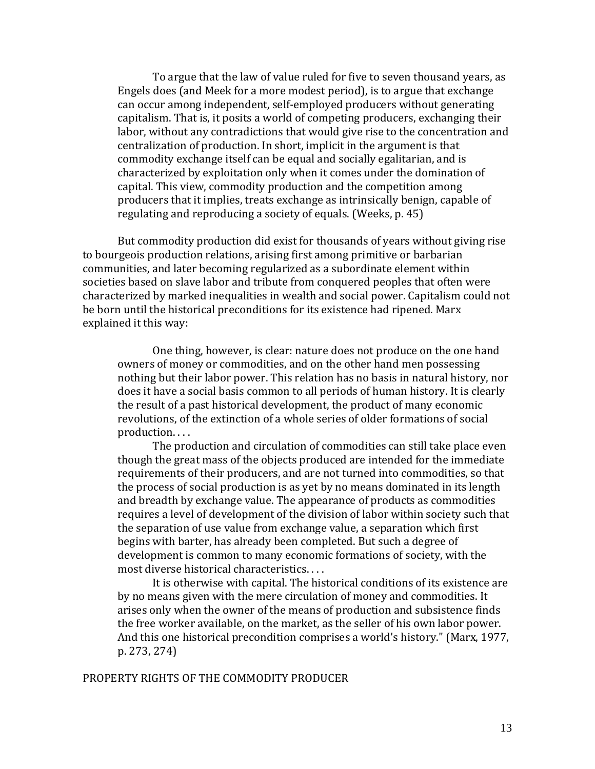To argue that the law of value ruled for five to seven thousand years, as Engels does (and Meek for a more modest period), is to argue that exchange can occur among independent, self-employed producers without generating capitalism. That is, it posits a world of competing producers, exchanging their labor, without any contradictions that would give rise to the concentration and centralization of production. In short, implicit in the argument is that commodity exchange itself can be equal and socially egalitarian, and is characterized by exploitation only when it comes under the domination of capital. This view, commodity production and the competition among producers that it implies, treats exchange as intrinsically benign, capable of regulating and reproducing a society of equals. (Weeks, p. 45)

But commodity production did exist for thousands of years without giving rise to bourgeois production relations, arising first among primitive or barbarian communities, and later becoming regularized as a subordinate element within societies based on slave labor and tribute from conquered peoples that often were characterized by marked inequalities in wealth and social power. Capitalism could not be born until the historical preconditions for its existence had ripened. Marx explained it this way:

One thing, however, is clear: nature does not produce on the one hand owners of money or commodities, and on the other hand men possessing nothing but their labor power. This relation has no basis in natural history, nor does it have a social basis common to all periods of human history. It is clearly the result of a past historical development, the product of many economic revolutions, of the extinction of a whole series of older formations of social production. . . .

The production and circulation of commodities can still take place even though the great mass of the objects produced are intended for the immediate requirements of their producers, and are not turned into commodities, so that the process of social production is as yet by no means dominated in its length and breadth by exchange value. The appearance of products as commodities requires a level of development of the division of labor within society such that the separation of use value from exchange value, a separation which first begins with barter, has already been completed. But such a degree of development is common to many economic formations of society, with the most diverse historical characteristics. . . .

It is otherwise with capital. The historical conditions of its existence are by no means given with the mere circulation of money and commodities. It arises only when the owner of the means of production and subsistence finds the free worker available, on the market, as the seller of his own labor power. And this one historical precondition comprises a world's history." (Marx, 1977, p. 273, 274)

## PROPERTY RIGHTS OF THE COMMODITY PRODUCER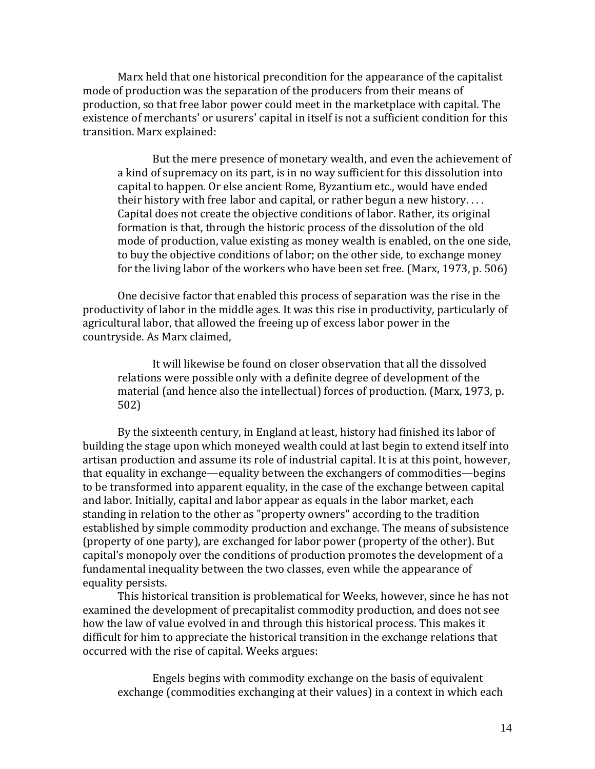Marx held that one historical precondition for the appearance of the capitalist mode of production was the separation of the producers from their means of production, so that free labor power could meet in the marketplace with capital. The existence of merchants' or usurers' capital in itself is not a sufficient condition for this transition. Marx explained:

But the mere presence of monetary wealth, and even the achievement of a kind of supremacy on its part, is in no way sufficient for this dissolution into capital to happen. Or else ancient Rome, Byzantium etc., would have ended their history with free labor and capital, or rather begun a new history. . . . Capital does not create the objective conditions of labor. Rather, its original formation is that, through the historic process of the dissolution of the old mode of production, value existing as money wealth is enabled, on the one side, to buy the objective conditions of labor; on the other side, to exchange money for the living labor of the workers who have been set free. (Marx, 1973, p. 506)

One decisive factor that enabled this process of separation was the rise in the productivity of labor in the middle ages. It was this rise in productivity, particularly of agricultural labor, that allowed the freeing up of excess labor power in the countryside. As Marx claimed,

It will likewise be found on closer observation that all the dissolved relations were possible only with a definite degree of development of the material (and hence also the intellectual) forces of production. (Marx, 1973, p. 502)

By the sixteenth century, in England at least, history had finished its labor of building the stage upon which moneyed wealth could at last begin to extend itself into artisan production and assume its role of industrial capital. It is at this point, however, that equality in exchange—equality between the exchangers of commodities—begins to be transformed into apparent equality, in the case of the exchange between capital and labor. Initially, capital and labor appear as equals in the labor market, each standing in relation to the other as "property owners" according to the tradition established by simple commodity production and exchange. The means of subsistence (property of one party), are exchanged for labor power (property of the other). But capital's monopoly over the conditions of production promotes the development of a fundamental inequality between the two classes, even while the appearance of equality persists.

This historical transition is problematical for Weeks, however, since he has not examined the development of precapitalist commodity production, and does not see how the law of value evolved in and through this historical process. This makes it difficult for him to appreciate the historical transition in the exchange relations that occurred with the rise of capital. Weeks argues:

Engels begins with commodity exchange on the basis of equivalent exchange (commodities exchanging at their values) in a context in which each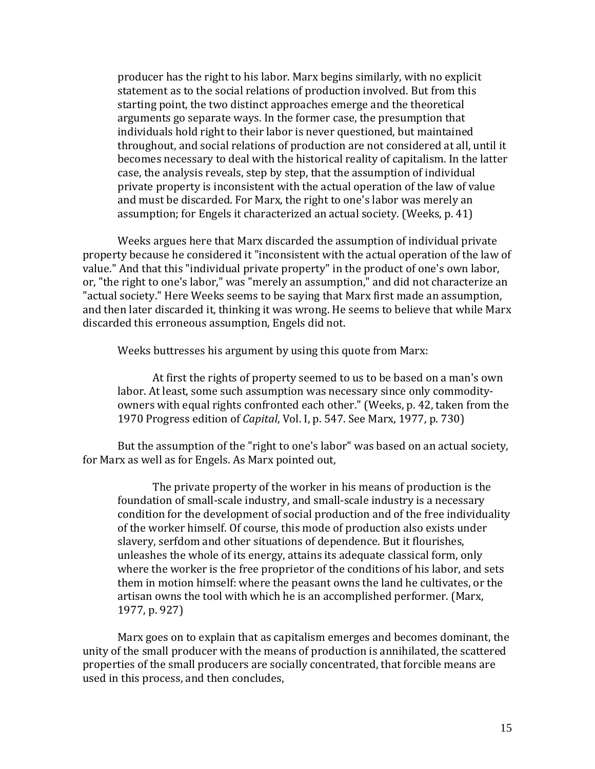producer has the right to his labor. Marx begins similarly, with no explicit statement as to the social relations of production involved. But from this starting point, the two distinct approaches emerge and the theoretical arguments go separate ways. In the former case, the presumption that individuals hold right to their labor is never questioned, but maintained throughout, and social relations of production are not considered at all, until it becomes necessary to deal with the historical reality of capitalism. In the latter case, the analysis reveals, step by step, that the assumption of individual private property is inconsistent with the actual operation of the law of value and must be discarded. For Marx, the right to one's labor was merely an assumption; for Engels it characterized an actual society. (Weeks, p. 41)

Weeks argues here that Marx discarded the assumption of individual private property because he considered it "inconsistent with the actual operation of the law of value." And that this "individual private property" in the product of one's own labor, or, "the right to one's labor," was "merely an assumption," and did not characterize an "actual society." Here Weeks seems to be saying that Marx first made an assumption, and then later discarded it, thinking it was wrong. He seems to believe that while Marx discarded this erroneous assumption, Engels did not.

Weeks buttresses his argument by using this quote from Marx:

At first the rights of property seemed to us to be based on a man's own labor. At least, some such assumption was necessary since only commodityowners with equal rights confronted each other." (Weeks, p. 42, taken from the 1970 Progress edition of *Capital*, Vol. I, p. 547. See Marx, 1977, p. 730)

But the assumption of the "right to one's labor" was based on an actual society, for Marx as well as for Engels. As Marx pointed out,

The private property of the worker in his means of production is the foundation of small-scale industry, and small-scale industry is a necessary condition for the development of social production and of the free individuality of the worker himself. Of course, this mode of production also exists under slavery, serfdom and other situations of dependence. But it flourishes, unleashes the whole of its energy, attains its adequate classical form, only where the worker is the free proprietor of the conditions of his labor, and sets them in motion himself: where the peasant owns the land he cultivates, or the artisan owns the tool with which he is an accomplished performer. (Marx, 1977, p. 927)

Marx goes on to explain that as capitalism emerges and becomes dominant, the unity of the small producer with the means of production is annihilated, the scattered properties of the small producers are socially concentrated, that forcible means are used in this process, and then concludes,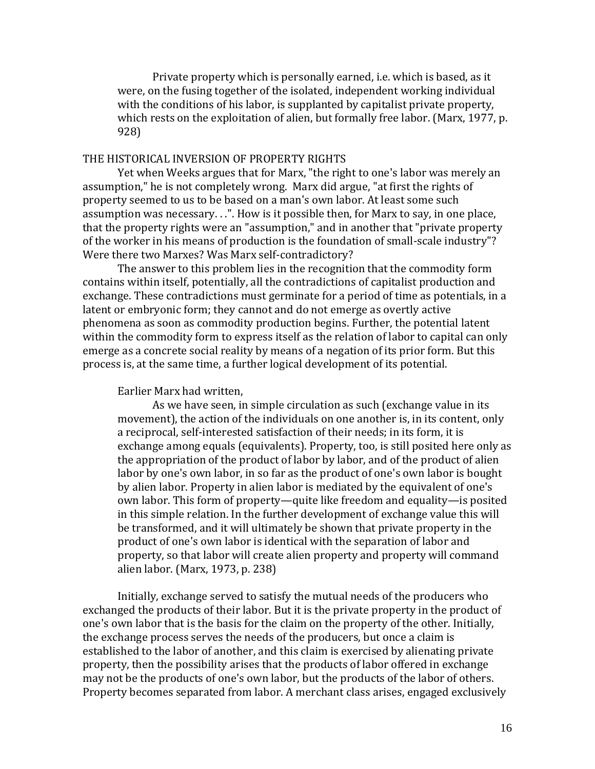Private property which is personally earned, i.e. which is based, as it were, on the fusing together of the isolated, independent working individual with the conditions of his labor, is supplanted by capitalist private property, which rests on the exploitation of alien, but formally free labor. (Marx, 1977, p. 928)

### THE HISTORICAL INVERSION OF PROPERTY RIGHTS

Yet when Weeks argues that for Marx, "the right to one's labor was merely an assumption," he is not completely wrong. Marx did argue, "at first the rights of property seemed to us to be based on a man's own labor. At least some such assumption was necessary. . .". How is it possible then, for Marx to say, in one place, that the property rights were an "assumption," and in another that "private property of the worker in his means of production is the foundation of small-scale industry"? Were there two Marxes? Was Marx self-contradictory?

The answer to this problem lies in the recognition that the commodity form contains within itself, potentially, all the contradictions of capitalist production and exchange. These contradictions must germinate for a period of time as potentials, in a latent or embryonic form; they cannot and do not emerge as overtly active phenomena as soon as commodity production begins. Further, the potential latent within the commodity form to express itself as the relation of labor to capital can only emerge as a concrete social reality by means of a negation of its prior form. But this process is, at the same time, a further logical development of its potential.

Earlier Marx had written,

As we have seen, in simple circulation as such (exchange value in its movement), the action of the individuals on one another is, in its content, only a reciprocal, self-interested satisfaction of their needs; in its form, it is exchange among equals (equivalents). Property, too, is still posited here only as the appropriation of the product of labor by labor, and of the product of alien labor by one's own labor, in so far as the product of one's own labor is bought by alien labor. Property in alien labor is mediated by the equivalent of one's own labor. This form of property—quite like freedom and equality—is posited in this simple relation. In the further development of exchange value this will be transformed, and it will ultimately be shown that private property in the product of one's own labor is identical with the separation of labor and property, so that labor will create alien property and property will command alien labor. (Marx, 1973, p. 238)

Initially, exchange served to satisfy the mutual needs of the producers who exchanged the products of their labor. But it is the private property in the product of one's own labor that is the basis for the claim on the property of the other. Initially, the exchange process serves the needs of the producers, but once a claim is established to the labor of another, and this claim is exercised by alienating private property, then the possibility arises that the products of labor offered in exchange may not be the products of one's own labor, but the products of the labor of others. Property becomes separated from labor. A merchant class arises, engaged exclusively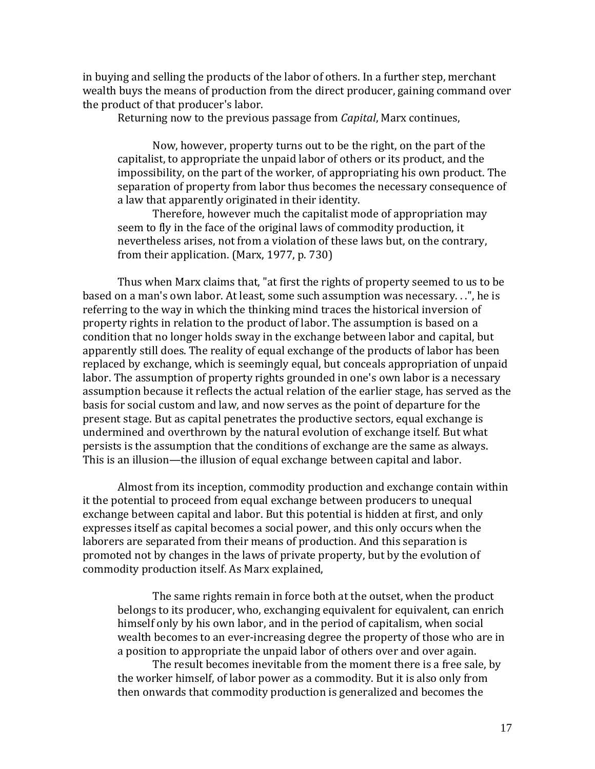in buying and selling the products of the labor of others. In a further step, merchant wealth buys the means of production from the direct producer, gaining command over the product of that producer's labor.

Returning now to the previous passage from *Capital*, Marx continues,

Now, however, property turns out to be the right, on the part of the capitalist, to appropriate the unpaid labor of others or its product, and the impossibility, on the part of the worker, of appropriating his own product. The separation of property from labor thus becomes the necessary consequence of a law that apparently originated in their identity.

Therefore, however much the capitalist mode of appropriation may seem to fly in the face of the original laws of commodity production, it nevertheless arises, not from a violation of these laws but, on the contrary, from their application. (Marx, 1977, p. 730)

Thus when Marx claims that, "at first the rights of property seemed to us to be based on a man's own labor. At least, some such assumption was necessary. . .", he is referring to the way in which the thinking mind traces the historical inversion of property rights in relation to the product of labor. The assumption is based on a condition that no longer holds sway in the exchange between labor and capital, but apparently still does. The reality of equal exchange of the products of labor has been replaced by exchange, which is seemingly equal, but conceals appropriation of unpaid labor. The assumption of property rights grounded in one's own labor is a necessary assumption because it reflects the actual relation of the earlier stage, has served as the basis for social custom and law, and now serves as the point of departure for the present stage. But as capital penetrates the productive sectors, equal exchange is undermined and overthrown by the natural evolution of exchange itself. But what persists is the assumption that the conditions of exchange are the same as always. This is an illusion—the illusion of equal exchange between capital and labor.

Almost from its inception, commodity production and exchange contain within it the potential to proceed from equal exchange between producers to unequal exchange between capital and labor. But this potential is hidden at first, and only expresses itself as capital becomes a social power, and this only occurs when the laborers are separated from their means of production. And this separation is promoted not by changes in the laws of private property, but by the evolution of commodity production itself. As Marx explained,

The same rights remain in force both at the outset, when the product belongs to its producer, who, exchanging equivalent for equivalent, can enrich himself only by his own labor, and in the period of capitalism, when social wealth becomes to an ever-increasing degree the property of those who are in a position to appropriate the unpaid labor of others over and over again.

The result becomes inevitable from the moment there is a free sale, by the worker himself, of labor power as a commodity. But it is also only from then onwards that commodity production is generalized and becomes the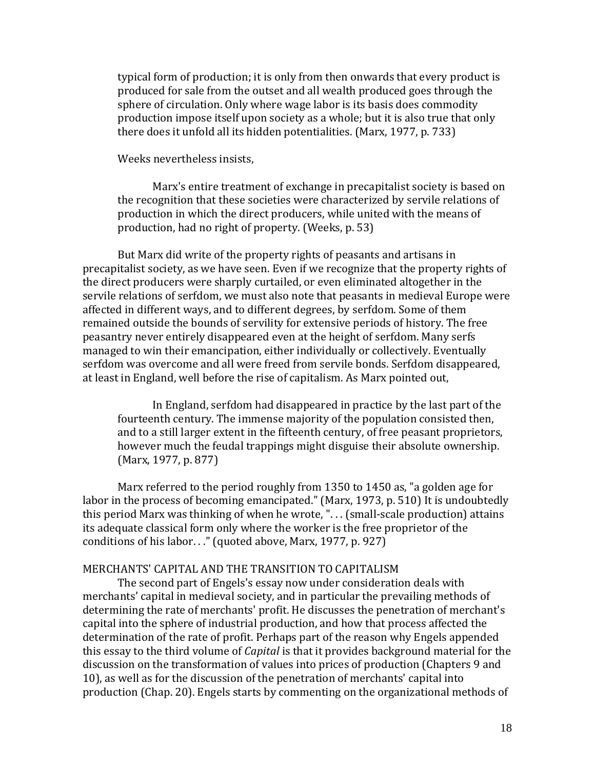typical form of production; it is only from then onwards that every product is produced for sale from the outset and all wealth produced goes through the sphere of circulation. Only where wage labor is its basis does commodity production impose itself upon society as a whole; but it is also true that only there does it unfold all its hidden potentialities. (Marx, 1977, p. 733)

Weeks nevertheless insists,

Marx's entire treatment of exchange in precapitalist society is based on the recognition that these societies were characterized by servile relations of production in which the direct producers, while united with the means of production, had no right of property. (Weeks, p. 53)

But Marx did write of the property rights of peasants and artisans in precapitalist society, as we have seen. Even if we recognize that the property rights of the direct producers were sharply curtailed, or even eliminated altogether in the servile relations of serfdom, we must also note that peasants in medieval Europe were affected in different ways, and to different degrees, by serfdom. Some of them remained outside the bounds of servility for extensive periods of history. The free peasantry never entirely disappeared even at the height of serfdom. Many serfs managed to win their emancipation, either individually or collectively. Eventually serfdom was overcome and all were freed from servile bonds. Serfdom disappeared, at least in England, well before the rise of capitalism. As Marx pointed out,

In England, serfdom had disappeared in practice by the last part of the fourteenth century. The immense majority of the population consisted then, and to a still larger extent in the fifteenth century, of free peasant proprietors, however much the feudal trappings might disguise their absolute ownership. (Marx, 1977, p. 877)

Marx referred to the period roughly from 1350 to 1450 as, "a golden age for labor in the process of becoming emancipated." (Marx, 1973, p. 510) It is undoubtedly this period Marx was thinking of when he wrote, ". . . (small-scale production) attains its adequate classical form only where the worker is the free proprietor of the conditions of his labor. . ." (quoted above, Marx, 1977, p. 927)

# MERCHANTS' CAPITAL AND THE TRANSITION TO CAPITALISM

The second part of Engels's essay now under consideration deals with merchants' capital in medieval society, and in particular the prevailing methods of determining the rate of merchants' profit. He discusses the penetration of merchant's capital into the sphere of industrial production, and how that process affected the determination of the rate of profit. Perhaps part of the reason why Engels appended this essay to the third volume of *Capital* is that it provides background material for the discussion on the transformation of values into prices of production (Chapters 9 and 10), as well as for the discussion of the penetration of merchants' capital into production (Chap. 20). Engels starts by commenting on the organizational methods of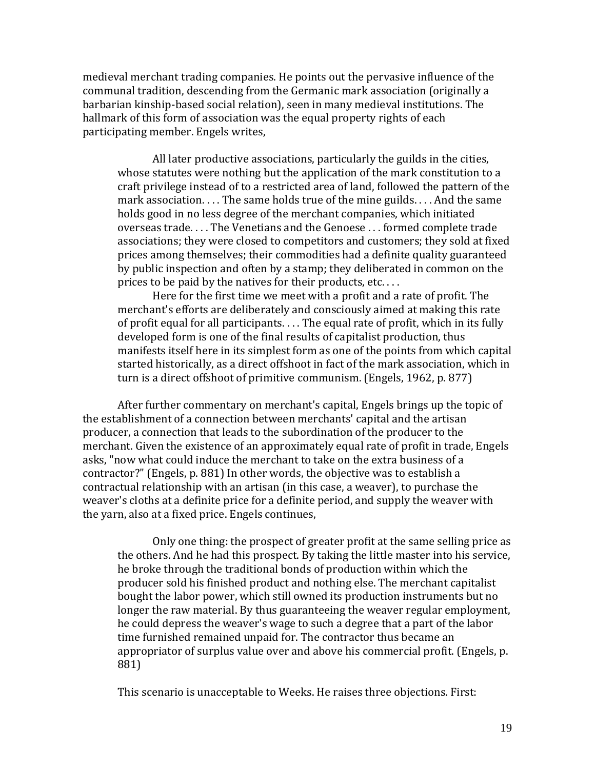medieval merchant trading companies. He points out the pervasive influence of the communal tradition, descending from the Germanic mark association (originally a barbarian kinship-based social relation), seen in many medieval institutions. The hallmark of this form of association was the equal property rights of each participating member. Engels writes,

All later productive associations, particularly the guilds in the cities, whose statutes were nothing but the application of the mark constitution to a craft privilege instead of to a restricted area of land, followed the pattern of the mark association. . . . The same holds true of the mine guilds. . . . And the same holds good in no less degree of the merchant companies, which initiated overseas trade. . . . The Venetians and the Genoese . . . formed complete trade associations; they were closed to competitors and customers; they sold at fixed prices among themselves; their commodities had a definite quality guaranteed by public inspection and often by a stamp; they deliberated in common on the prices to be paid by the natives for their products, etc. . . .

Here for the first time we meet with a profit and a rate of profit. The merchant's efforts are deliberately and consciously aimed at making this rate of profit equal for all participants. . . . The equal rate of profit, which in its fully developed form is one of the final results of capitalist production, thus manifests itself here in its simplest form as one of the points from which capital started historically, as a direct offshoot in fact of the mark association, which in turn is a direct offshoot of primitive communism. (Engels, 1962, p. 877)

After further commentary on merchant's capital, Engels brings up the topic of the establishment of a connection between merchants' capital and the artisan producer, a connection that leads to the subordination of the producer to the merchant. Given the existence of an approximately equal rate of profit in trade, Engels asks, "now what could induce the merchant to take on the extra business of a contractor?" (Engels, p. 881) In other words, the objective was to establish a contractual relationship with an artisan (in this case, a weaver), to purchase the weaver's cloths at a definite price for a definite period, and supply the weaver with the yarn, also at a fixed price. Engels continues,

Only one thing: the prospect of greater profit at the same selling price as the others. And he had this prospect. By taking the little master into his service, he broke through the traditional bonds of production within which the producer sold his finished product and nothing else. The merchant capitalist bought the labor power, which still owned its production instruments but no longer the raw material. By thus guaranteeing the weaver regular employment, he could depress the weaver's wage to such a degree that a part of the labor time furnished remained unpaid for. The contractor thus became an appropriator of surplus value over and above his commercial profit. (Engels, p. 881)

This scenario is unacceptable to Weeks. He raises three objections. First: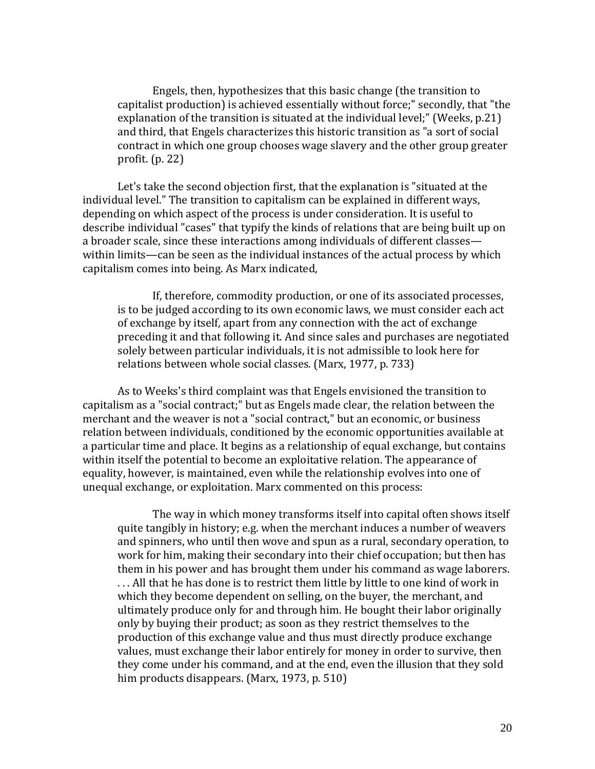Engels, then, hypothesizes that this basic change (the transition to capitalist production) is achieved essentially without force;" secondly, that "the explanation of the transition is situated at the individual level;" (Weeks, p.21) and third, that Engels characterizes this historic transition as "a sort of social contract in which one group chooses wage slavery and the other group greater profit. (p. 22)

Let's take the second objection first, that the explanation is "situated at the individual level." The transition to capitalism can be explained in different ways, depending on which aspect of the process is under consideration. It is useful to describe individual "cases" that typify the kinds of relations that are being built up on a broader scale, since these interactions among individuals of different classes within limits—can be seen as the individual instances of the actual process by which capitalism comes into being. As Marx indicated,

If, therefore, commodity production, or one of its associated processes, is to be judged according to its own economic laws, we must consider each act of exchange by itself, apart from any connection with the act of exchange preceding it and that following it. And since sales and purchases are negotiated solely between particular individuals, it is not admissible to look here for relations between whole social classes. (Marx, 1977, p. 733)

As to Weeks's third complaint was that Engels envisioned the transition to capitalism as a "social contract;" but as Engels made clear, the relation between the merchant and the weaver is not a "social contract," but an economic, or business relation between individuals, conditioned by the economic opportunities available at a particular time and place. It begins as a relationship of equal exchange, but contains within itself the potential to become an exploitative relation. The appearance of equality, however, is maintained, even while the relationship evolves into one of unequal exchange, or exploitation. Marx commented on this process:

The way in which money transforms itself into capital often shows itself quite tangibly in history; e.g. when the merchant induces a number of weavers and spinners, who until then wove and spun as a rural, secondary operation, to work for him, making their secondary into their chief occupation; but then has them in his power and has brought them under his command as wage laborers. . . . All that he has done is to restrict them little by little to one kind of work in which they become dependent on selling, on the buyer, the merchant, and ultimately produce only for and through him. He bought their labor originally only by buying their product; as soon as they restrict themselves to the production of this exchange value and thus must directly produce exchange values, must exchange their labor entirely for money in order to survive, then they come under his command, and at the end, even the illusion that they sold him products disappears. (Marx, 1973, p. 510)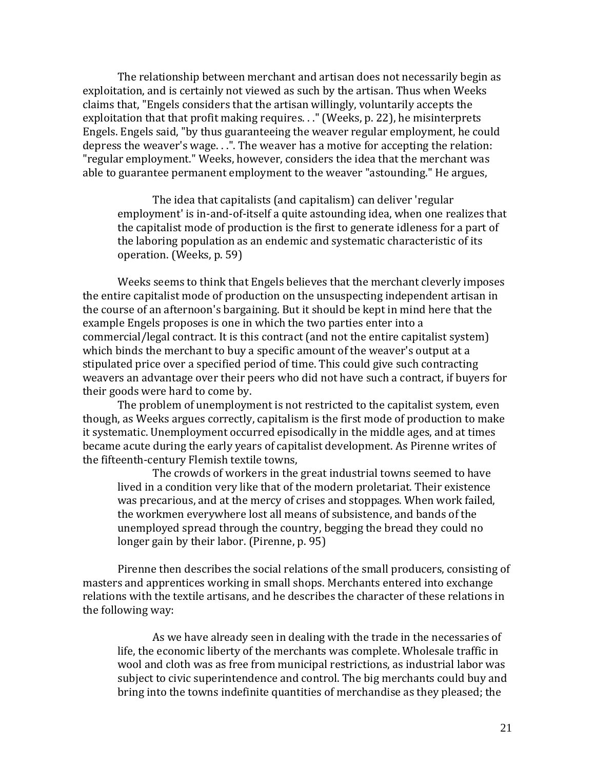The relationship between merchant and artisan does not necessarily begin as exploitation, and is certainly not viewed as such by the artisan. Thus when Weeks claims that, "Engels considers that the artisan willingly, voluntarily accepts the exploitation that that profit making requires. . ." (Weeks, p. 22), he misinterprets Engels. Engels said, "by thus guaranteeing the weaver regular employment, he could depress the weaver's wage. . .". The weaver has a motive for accepting the relation: "regular employment." Weeks, however, considers the idea that the merchant was able to guarantee permanent employment to the weaver "astounding." He argues,

The idea that capitalists (and capitalism) can deliver 'regular employment' is in-and-of-itself a quite astounding idea, when one realizes that the capitalist mode of production is the first to generate idleness for a part of the laboring population as an endemic and systematic characteristic of its operation. (Weeks, p. 59)

Weeks seems to think that Engels believes that the merchant cleverly imposes the entire capitalist mode of production on the unsuspecting independent artisan in the course of an afternoon's bargaining. But it should be kept in mind here that the example Engels proposes is one in which the two parties enter into a commercial/legal contract. It is this contract (and not the entire capitalist system) which binds the merchant to buy a specific amount of the weaver's output at a stipulated price over a specified period of time. This could give such contracting weavers an advantage over their peers who did not have such a contract, if buyers for their goods were hard to come by.

The problem of unemployment is not restricted to the capitalist system, even though, as Weeks argues correctly, capitalism is the first mode of production to make it systematic. Unemployment occurred episodically in the middle ages, and at times became acute during the early years of capitalist development. As Pirenne writes of the fifteenth-century Flemish textile towns,

The crowds of workers in the great industrial towns seemed to have lived in a condition very like that of the modern proletariat. Their existence was precarious, and at the mercy of crises and stoppages. When work failed, the workmen everywhere lost all means of subsistence, and bands of the unemployed spread through the country, begging the bread they could no longer gain by their labor. (Pirenne, p. 95)

Pirenne then describes the social relations of the small producers, consisting of masters and apprentices working in small shops. Merchants entered into exchange relations with the textile artisans, and he describes the character of these relations in the following way:

As we have already seen in dealing with the trade in the necessaries of life, the economic liberty of the merchants was complete. Wholesale traffic in wool and cloth was as free from municipal restrictions, as industrial labor was subject to civic superintendence and control. The big merchants could buy and bring into the towns indefinite quantities of merchandise as they pleased; the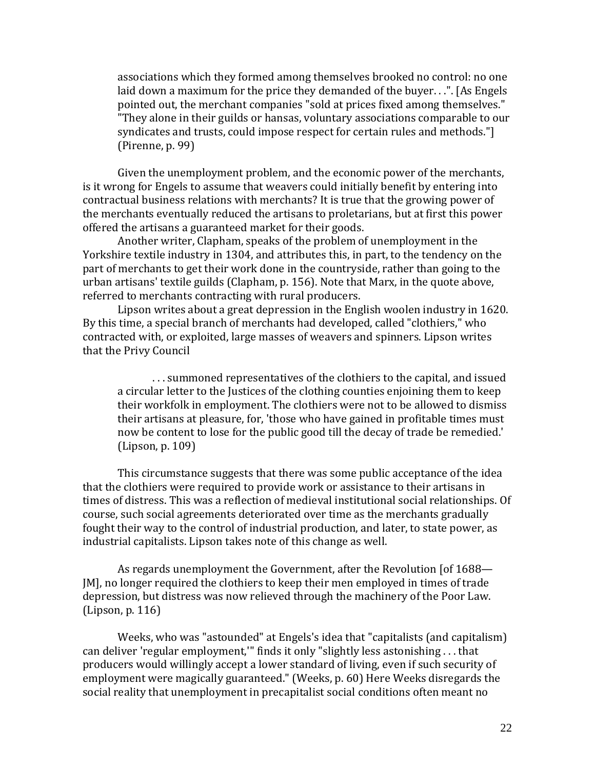associations which they formed among themselves brooked no control: no one laid down a maximum for the price they demanded of the buyer. . .". [As Engels pointed out, the merchant companies "sold at prices fixed among themselves." "They alone in their guilds or hansas, voluntary associations comparable to our syndicates and trusts, could impose respect for certain rules and methods."] (Pirenne, p. 99)

Given the unemployment problem, and the economic power of the merchants, is it wrong for Engels to assume that weavers could initially benefit by entering into contractual business relations with merchants? It is true that the growing power of the merchants eventually reduced the artisans to proletarians, but at first this power offered the artisans a guaranteed market for their goods.

Another writer, Clapham, speaks of the problem of unemployment in the Yorkshire textile industry in 1304, and attributes this, in part, to the tendency on the part of merchants to get their work done in the countryside, rather than going to the urban artisans' textile guilds (Clapham, p. 156). Note that Marx, in the quote above, referred to merchants contracting with rural producers.

Lipson writes about a great depression in the English woolen industry in 1620. By this time, a special branch of merchants had developed, called "clothiers," who contracted with, or exploited, large masses of weavers and spinners. Lipson writes that the Privy Council

. . . summoned representatives of the clothiers to the capital, and issued a circular letter to the Justices of the clothing counties enjoining them to keep their workfolk in employment. The clothiers were not to be allowed to dismiss their artisans at pleasure, for, 'those who have gained in profitable times must now be content to lose for the public good till the decay of trade be remedied.' (Lipson, p. 109)

This circumstance suggests that there was some public acceptance of the idea that the clothiers were required to provide work or assistance to their artisans in times of distress. This was a reflection of medieval institutional social relationships. Of course, such social agreements deteriorated over time as the merchants gradually fought their way to the control of industrial production, and later, to state power, as industrial capitalists. Lipson takes note of this change as well.

As regards unemployment the Government, after the Revolution [of 1688— JM], no longer required the clothiers to keep their men employed in times of trade depression, but distress was now relieved through the machinery of the Poor Law. (Lipson, p. 116)

Weeks, who was "astounded" at Engels's idea that "capitalists (and capitalism) can deliver 'regular employment,'" finds it only "slightly less astonishing . . . that producers would willingly accept a lower standard of living, even if such security of employment were magically guaranteed." (Weeks, p. 60) Here Weeks disregards the social reality that unemployment in precapitalist social conditions often meant no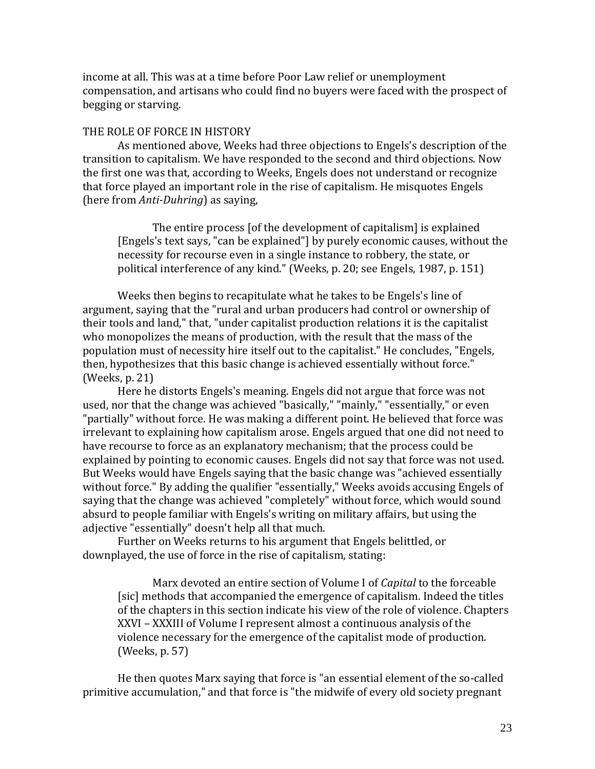income at all. This was at a time before Poor Law relief or unemployment compensation, and artisans who could find no buyers were faced with the prospect of begging or starving.

## THE ROLE OF FORCE IN HISTORY

As mentioned above, Weeks had three objections to Engels's description of the transition to capitalism. We have responded to the second and third objections. Now the first one was that, according to Weeks, Engels does not understand or recognize that force played an important role in the rise of capitalism. He misquotes Engels (here from *Anti-Duhring*) as saying,

The entire process [of the development of capitalism] is explained [Engels's text says, "can be explained"] by purely economic causes, without the necessity for recourse even in a single instance to robbery, the state, or political interference of any kind." (Weeks, p. 20; see Engels, 1987, p. 151)

Weeks then begins to recapitulate what he takes to be Engels's line of argument, saying that the "rural and urban producers had control or ownership of their tools and land," that, "under capitalist production relations it is the capitalist who monopolizes the means of production, with the result that the mass of the population must of necessity hire itself out to the capitalist." He concludes, "Engels, then, hypothesizes that this basic change is achieved essentially without force." (Weeks, p. 21)

Here he distorts Engels's meaning. Engels did not argue that force was not used, nor that the change was achieved "basically," "mainly," "essentially," or even "partially" without force. He was making a different point. He believed that force was irrelevant to explaining how capitalism arose. Engels argued that one did not need to have recourse to force as an explanatory mechanism; that the process could be explained by pointing to economic causes. Engels did not say that force was not used. But Weeks would have Engels saying that the basic change was "achieved essentially without force." By adding the qualifier "essentially," Weeks avoids accusing Engels of saying that the change was achieved "completely" without force, which would sound absurd to people familiar with Engels's writing on military affairs, but using the adjective "essentially" doesn't help all that much.

Further on Weeks returns to his argument that Engels belittled, or downplayed, the use of force in the rise of capitalism, stating:

Marx devoted an entire section of Volume I of *Capital* to the forceable [sic] methods that accompanied the emergence of capitalism. Indeed the titles of the chapters in this section indicate his view of the role of violence. Chapters XXVI – XXXIII of Volume I represent almost a continuous analysis of the violence necessary for the emergence of the capitalist mode of production. (Weeks, p. 57)

He then quotes Marx saying that force is "an essential element of the so-called primitive accumulation," and that force is "the midwife of every old society pregnant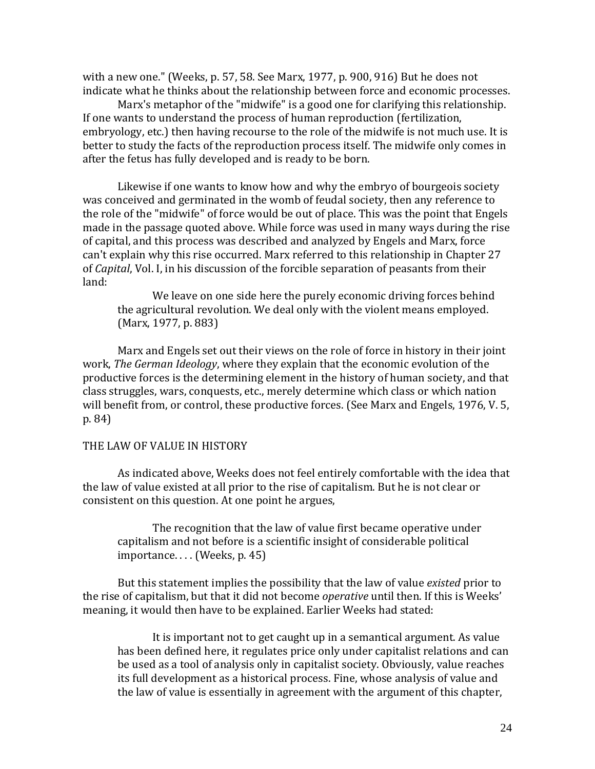with a new one." (Weeks, p. 57, 58. See Marx, 1977, p. 900, 916) But he does not indicate what he thinks about the relationship between force and economic processes.

Marx's metaphor of the "midwife" is a good one for clarifying this relationship. If one wants to understand the process of human reproduction (fertilization, embryology, etc.) then having recourse to the role of the midwife is not much use. It is better to study the facts of the reproduction process itself. The midwife only comes in after the fetus has fully developed and is ready to be born.

Likewise if one wants to know how and why the embryo of bourgeois society was conceived and germinated in the womb of feudal society, then any reference to the role of the "midwife" of force would be out of place. This was the point that Engels made in the passage quoted above. While force was used in many ways during the rise of capital, and this process was described and analyzed by Engels and Marx, force can't explain why this rise occurred. Marx referred to this relationship in Chapter 27 of *Capital*, Vol. I, in his discussion of the forcible separation of peasants from their land:

We leave on one side here the purely economic driving forces behind the agricultural revolution. We deal only with the violent means employed. (Marx, 1977, p. 883)

Marx and Engels set out their views on the role of force in history in their joint work, *The German Ideology*, where they explain that the economic evolution of the productive forces is the determining element in the history of human society, and that class struggles, wars, conquests, etc., merely determine which class or which nation will benefit from, or control, these productive forces. (See Marx and Engels, 1976, V. 5, p. 84)

# THE LAW OF VALUE IN HISTORY

As indicated above, Weeks does not feel entirely comfortable with the idea that the law of value existed at all prior to the rise of capitalism. But he is not clear or consistent on this question. At one point he argues,

The recognition that the law of value first became operative under capitalism and not before is a scientific insight of considerable political importance. . . . (Weeks, p. 45)

But this statement implies the possibility that the law of value *existed* prior to the rise of capitalism, but that it did not become *operative* until then. If this is Weeks' meaning, it would then have to be explained. Earlier Weeks had stated:

It is important not to get caught up in a semantical argument. As value has been defined here, it regulates price only under capitalist relations and can be used as a tool of analysis only in capitalist society. Obviously, value reaches its full development as a historical process. Fine, whose analysis of value and the law of value is essentially in agreement with the argument of this chapter,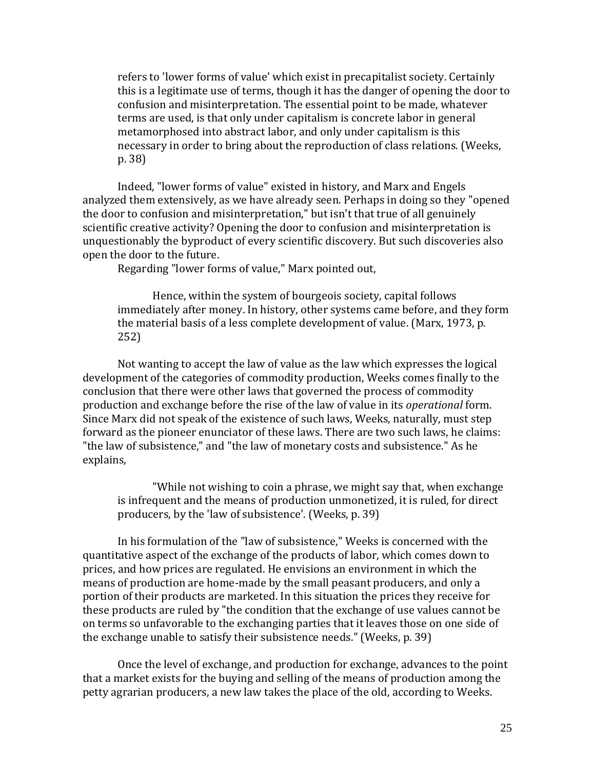refers to 'lower forms of value' which exist in precapitalist society. Certainly this is a legitimate use of terms, though it has the danger of opening the door to confusion and misinterpretation. The essential point to be made, whatever terms are used, is that only under capitalism is concrete labor in general metamorphosed into abstract labor, and only under capitalism is this necessary in order to bring about the reproduction of class relations. (Weeks, p. 38)

Indeed, "lower forms of value" existed in history, and Marx and Engels analyzed them extensively, as we have already seen. Perhaps in doing so they "opened the door to confusion and misinterpretation," but isn't that true of all genuinely scientific creative activity? Opening the door to confusion and misinterpretation is unquestionably the byproduct of every scientific discovery. But such discoveries also open the door to the future.

Regarding "lower forms of value," Marx pointed out,

Hence, within the system of bourgeois society, capital follows immediately after money. In history, other systems came before, and they form the material basis of a less complete development of value. (Marx, 1973, p. 252)

Not wanting to accept the law of value as the law which expresses the logical development of the categories of commodity production, Weeks comes finally to the conclusion that there were other laws that governed the process of commodity production and exchange before the rise of the law of value in its *operational* form. Since Marx did not speak of the existence of such laws, Weeks, naturally, must step forward as the pioneer enunciator of these laws. There are two such laws, he claims: "the law of subsistence," and "the law of monetary costs and subsistence." As he explains,

"While not wishing to coin a phrase, we might say that, when exchange is infrequent and the means of production unmonetized, it is ruled, for direct producers, by the 'law of subsistence'. (Weeks, p. 39)

In his formulation of the "law of subsistence," Weeks is concerned with the quantitative aspect of the exchange of the products of labor, which comes down to prices, and how prices are regulated. He envisions an environment in which the means of production are home-made by the small peasant producers, and only a portion of their products are marketed. In this situation the prices they receive for these products are ruled by "the condition that the exchange of use values cannot be on terms so unfavorable to the exchanging parties that it leaves those on one side of the exchange unable to satisfy their subsistence needs." (Weeks, p. 39)

Once the level of exchange, and production for exchange, advances to the point that a market exists for the buying and selling of the means of production among the petty agrarian producers, a new law takes the place of the old, according to Weeks.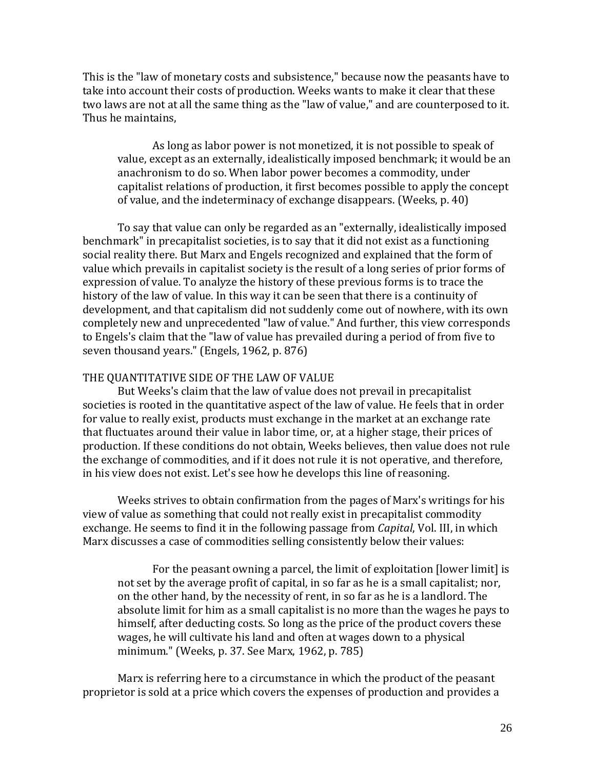This is the "law of monetary costs and subsistence," because now the peasants have to take into account their costs of production. Weeks wants to make it clear that these two laws are not at all the same thing as the "law of value," and are counterposed to it. Thus he maintains,

As long as labor power is not monetized, it is not possible to speak of value, except as an externally, idealistically imposed benchmark; it would be an anachronism to do so. When labor power becomes a commodity, under capitalist relations of production, it first becomes possible to apply the concept of value, and the indeterminacy of exchange disappears. (Weeks, p. 40)

To say that value can only be regarded as an "externally, idealistically imposed benchmark" in precapitalist societies, is to say that it did not exist as a functioning social reality there. But Marx and Engels recognized and explained that the form of value which prevails in capitalist society is the result of a long series of prior forms of expression of value. To analyze the history of these previous forms is to trace the history of the law of value. In this way it can be seen that there is a continuity of development, and that capitalism did not suddenly come out of nowhere, with its own completely new and unprecedented "law of value." And further, this view corresponds to Engels's claim that the "law of value has prevailed during a period of from five to seven thousand years." (Engels, 1962, p. 876)

### THE QUANTITATIVE SIDE OF THE LAW OF VALUE

But Weeks's claim that the law of value does not prevail in precapitalist societies is rooted in the quantitative aspect of the law of value. He feels that in order for value to really exist, products must exchange in the market at an exchange rate that fluctuates around their value in labor time, or, at a higher stage, their prices of production. If these conditions do not obtain, Weeks believes, then value does not rule the exchange of commodities, and if it does not rule it is not operative, and therefore, in his view does not exist. Let's see how he develops this line of reasoning.

Weeks strives to obtain confirmation from the pages of Marx's writings for his view of value as something that could not really exist in precapitalist commodity exchange. He seems to find it in the following passage from *Capital*, Vol. III, in which Marx discusses a case of commodities selling consistently below their values:

For the peasant owning a parcel, the limit of exploitation [lower limit] is not set by the average profit of capital, in so far as he is a small capitalist; nor, on the other hand, by the necessity of rent, in so far as he is a landlord. The absolute limit for him as a small capitalist is no more than the wages he pays to himself, after deducting costs. So long as the price of the product covers these wages, he will cultivate his land and often at wages down to a physical minimum." (Weeks, p. 37. See Marx, 1962, p. 785)

Marx is referring here to a circumstance in which the product of the peasant proprietor is sold at a price which covers the expenses of production and provides a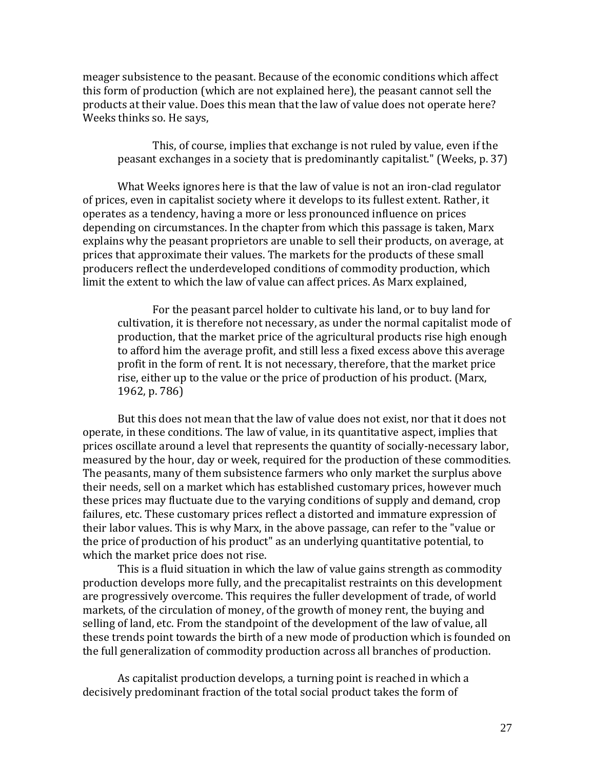meager subsistence to the peasant. Because of the economic conditions which affect this form of production (which are not explained here), the peasant cannot sell the products at their value. Does this mean that the law of value does not operate here? Weeks thinks so. He says,

This, of course, implies that exchange is not ruled by value, even if the peasant exchanges in a society that is predominantly capitalist." (Weeks, p. 37)

What Weeks ignores here is that the law of value is not an iron-clad regulator of prices, even in capitalist society where it develops to its fullest extent. Rather, it operates as a tendency, having a more or less pronounced influence on prices depending on circumstances. In the chapter from which this passage is taken, Marx explains why the peasant proprietors are unable to sell their products, on average, at prices that approximate their values. The markets for the products of these small producers reflect the underdeveloped conditions of commodity production, which limit the extent to which the law of value can affect prices. As Marx explained,

For the peasant parcel holder to cultivate his land, or to buy land for cultivation, it is therefore not necessary, as under the normal capitalist mode of production, that the market price of the agricultural products rise high enough to afford him the average profit, and still less a fixed excess above this average profit in the form of rent. It is not necessary, therefore, that the market price rise, either up to the value or the price of production of his product. (Marx, 1962, p. 786)

But this does not mean that the law of value does not exist, nor that it does not operate, in these conditions. The law of value, in its quantitative aspect, implies that prices oscillate around a level that represents the quantity of socially-necessary labor, measured by the hour, day or week, required for the production of these commodities. The peasants, many of them subsistence farmers who only market the surplus above their needs, sell on a market which has established customary prices, however much these prices may fluctuate due to the varying conditions of supply and demand, crop failures, etc. These customary prices reflect a distorted and immature expression of their labor values. This is why Marx, in the above passage, can refer to the "value or the price of production of his product" as an underlying quantitative potential, to which the market price does not rise.

This is a fluid situation in which the law of value gains strength as commodity production develops more fully, and the precapitalist restraints on this development are progressively overcome. This requires the fuller development of trade, of world markets, of the circulation of money, of the growth of money rent, the buying and selling of land, etc. From the standpoint of the development of the law of value, all these trends point towards the birth of a new mode of production which is founded on the full generalization of commodity production across all branches of production.

As capitalist production develops, a turning point is reached in which a decisively predominant fraction of the total social product takes the form of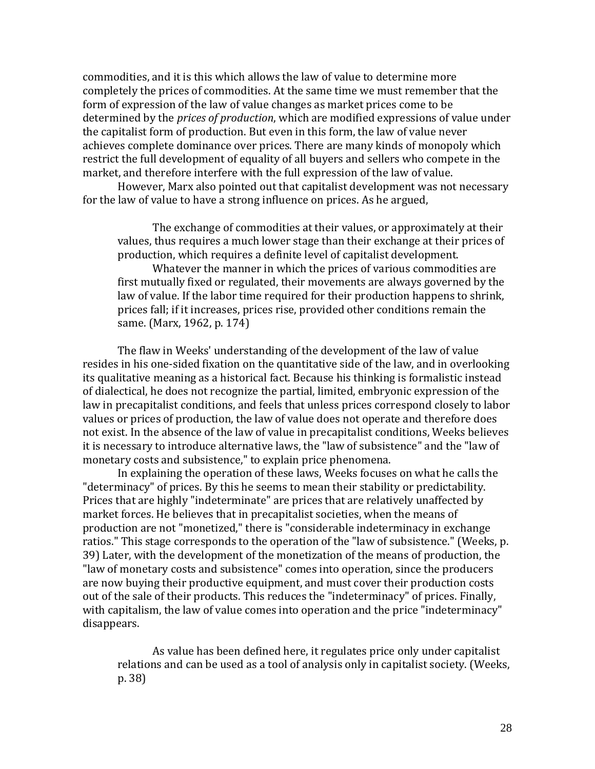commodities, and it is this which allows the law of value to determine more completely the prices of commodities. At the same time we must remember that the form of expression of the law of value changes as market prices come to be determined by the *prices of production*, which are modified expressions of value under the capitalist form of production. But even in this form, the law of value never achieves complete dominance over prices. There are many kinds of monopoly which restrict the full development of equality of all buyers and sellers who compete in the market, and therefore interfere with the full expression of the law of value.

However, Marx also pointed out that capitalist development was not necessary for the law of value to have a strong influence on prices. As he argued,

The exchange of commodities at their values, or approximately at their values, thus requires a much lower stage than their exchange at their prices of production, which requires a definite level of capitalist development.

Whatever the manner in which the prices of various commodities are first mutually fixed or regulated, their movements are always governed by the law of value. If the labor time required for their production happens to shrink, prices fall; if it increases, prices rise, provided other conditions remain the same. (Marx, 1962, p. 174)

The flaw in Weeks' understanding of the development of the law of value resides in his one-sided fixation on the quantitative side of the law, and in overlooking its qualitative meaning as a historical fact. Because his thinking is formalistic instead of dialectical, he does not recognize the partial, limited, embryonic expression of the law in precapitalist conditions, and feels that unless prices correspond closely to labor values or prices of production, the law of value does not operate and therefore does not exist. In the absence of the law of value in precapitalist conditions, Weeks believes it is necessary to introduce alternative laws, the "law of subsistence" and the "law of monetary costs and subsistence," to explain price phenomena.

In explaining the operation of these laws, Weeks focuses on what he calls the "determinacy" of prices. By this he seems to mean their stability or predictability. Prices that are highly "indeterminate" are prices that are relatively unaffected by market forces. He believes that in precapitalist societies, when the means of production are not "monetized," there is "considerable indeterminacy in exchange ratios." This stage corresponds to the operation of the "law of subsistence." (Weeks, p. 39) Later, with the development of the monetization of the means of production, the "law of monetary costs and subsistence" comes into operation, since the producers are now buying their productive equipment, and must cover their production costs out of the sale of their products. This reduces the "indeterminacy" of prices. Finally, with capitalism, the law of value comes into operation and the price "indeterminacy" disappears.

As value has been defined here, it regulates price only under capitalist relations and can be used as a tool of analysis only in capitalist society. (Weeks, p. 38)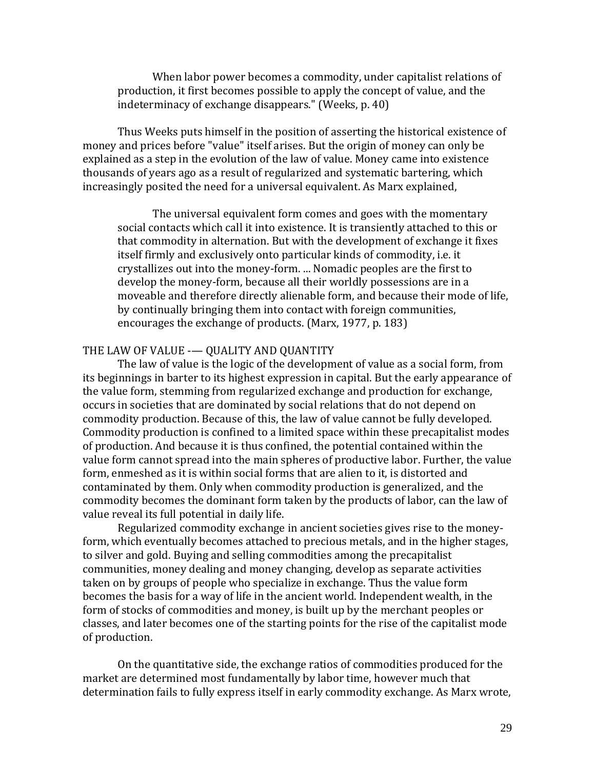When labor power becomes a commodity, under capitalist relations of production, it first becomes possible to apply the concept of value, and the indeterminacy of exchange disappears." (Weeks, p. 40)

Thus Weeks puts himself in the position of asserting the historical existence of money and prices before "value" itself arises. But the origin of money can only be explained as a step in the evolution of the law of value. Money came into existence thousands of years ago as a result of regularized and systematic bartering, which increasingly posited the need for a universal equivalent. As Marx explained,

The universal equivalent form comes and goes with the momentary social contacts which call it into existence. It is transiently attached to this or that commodity in alternation. But with the development of exchange it fixes itself firmly and exclusively onto particular kinds of commodity, i.e. it crystallizes out into the money-form. ... Nomadic peoples are the first to develop the money-form, because all their worldly possessions are in a moveable and therefore directly alienable form, and because their mode of life, by continually bringing them into contact with foreign communities, encourages the exchange of products. (Marx, 1977, p. 183)

# THE LAW OF VALUE -— QUALITY AND QUANTITY

The law of value is the logic of the development of value as a social form, from its beginnings in barter to its highest expression in capital. But the early appearance of the value form, stemming from regularized exchange and production for exchange, occurs in societies that are dominated by social relations that do not depend on commodity production. Because of this, the law of value cannot be fully developed. Commodity production is confined to a limited space within these precapitalist modes of production. And because it is thus confined, the potential contained within the value form cannot spread into the main spheres of productive labor. Further, the value form, enmeshed as it is within social forms that are alien to it, is distorted and contaminated by them. Only when commodity production is generalized, and the commodity becomes the dominant form taken by the products of labor, can the law of value reveal its full potential in daily life.

Regularized commodity exchange in ancient societies gives rise to the moneyform, which eventually becomes attached to precious metals, and in the higher stages, to silver and gold. Buying and selling commodities among the precapitalist communities, money dealing and money changing, develop as separate activities taken on by groups of people who specialize in exchange. Thus the value form becomes the basis for a way of life in the ancient world. Independent wealth, in the form of stocks of commodities and money, is built up by the merchant peoples or classes, and later becomes one of the starting points for the rise of the capitalist mode of production.

On the quantitative side, the exchange ratios of commodities produced for the market are determined most fundamentally by labor time, however much that determination fails to fully express itself in early commodity exchange. As Marx wrote,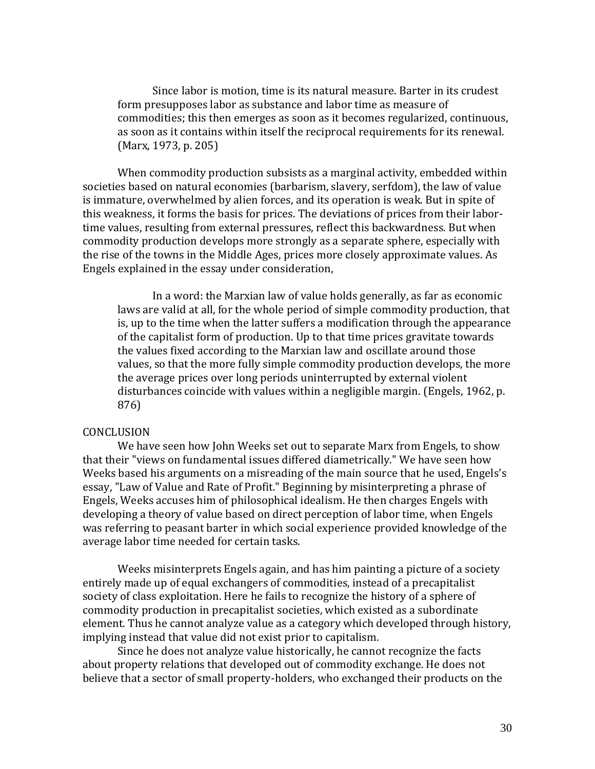Since labor is motion, time is its natural measure. Barter in its crudest form presupposes labor as substance and labor time as measure of commodities; this then emerges as soon as it becomes regularized, continuous, as soon as it contains within itself the reciprocal requirements for its renewal. (Marx, 1973, p. 205)

When commodity production subsists as a marginal activity, embedded within societies based on natural economies (barbarism, slavery, serfdom), the law of value is immature, overwhelmed by alien forces, and its operation is weak. But in spite of this weakness, it forms the basis for prices. The deviations of prices from their labortime values, resulting from external pressures, reflect this backwardness. But when commodity production develops more strongly as a separate sphere, especially with the rise of the towns in the Middle Ages, prices more closely approximate values. As Engels explained in the essay under consideration,

In a word: the Marxian law of value holds generally, as far as economic laws are valid at all, for the whole period of simple commodity production, that is, up to the time when the latter suffers a modification through the appearance of the capitalist form of production. Up to that time prices gravitate towards the values fixed according to the Marxian law and oscillate around those values, so that the more fully simple commodity production develops, the more the average prices over long periods uninterrupted by external violent disturbances coincide with values within a negligible margin. (Engels, 1962, p. 876)

# **CONCLUSION**

We have seen how John Weeks set out to separate Marx from Engels, to show that their "views on fundamental issues differed diametrically." We have seen how Weeks based his arguments on a misreading of the main source that he used, Engels's essay, "Law of Value and Rate of Profit." Beginning by misinterpreting a phrase of Engels, Weeks accuses him of philosophical idealism. He then charges Engels with developing a theory of value based on direct perception of labor time, when Engels was referring to peasant barter in which social experience provided knowledge of the average labor time needed for certain tasks.

Weeks misinterprets Engels again, and has him painting a picture of a society entirely made up of equal exchangers of commodities, instead of a precapitalist society of class exploitation. Here he fails to recognize the history of a sphere of commodity production in precapitalist societies, which existed as a subordinate element. Thus he cannot analyze value as a category which developed through history, implying instead that value did not exist prior to capitalism.

Since he does not analyze value historically, he cannot recognize the facts about property relations that developed out of commodity exchange. He does not believe that a sector of small property-holders, who exchanged their products on the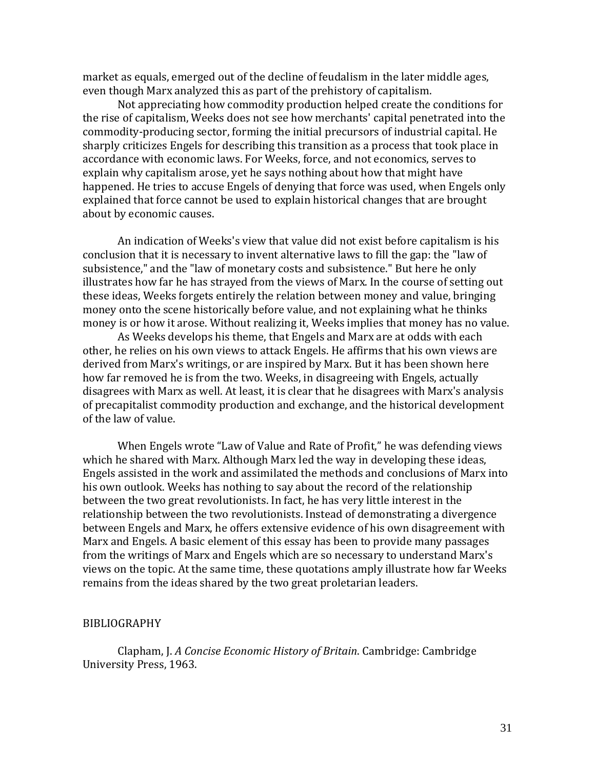market as equals, emerged out of the decline of feudalism in the later middle ages, even though Marx analyzed this as part of the prehistory of capitalism.

Not appreciating how commodity production helped create the conditions for the rise of capitalism, Weeks does not see how merchants' capital penetrated into the commodity-producing sector, forming the initial precursors of industrial capital. He sharply criticizes Engels for describing this transition as a process that took place in accordance with economic laws. For Weeks, force, and not economics, serves to explain why capitalism arose, yet he says nothing about how that might have happened. He tries to accuse Engels of denying that force was used, when Engels only explained that force cannot be used to explain historical changes that are brought about by economic causes.

An indication of Weeks's view that value did not exist before capitalism is his conclusion that it is necessary to invent alternative laws to fill the gap: the "law of subsistence," and the "law of monetary costs and subsistence." But here he only illustrates how far he has strayed from the views of Marx. In the course of setting out these ideas, Weeks forgets entirely the relation between money and value, bringing money onto the scene historically before value, and not explaining what he thinks money is or how it arose. Without realizing it, Weeks implies that money has no value.

As Weeks develops his theme, that Engels and Marx are at odds with each other, he relies on his own views to attack Engels. He affirms that his own views are derived from Marx's writings, or are inspired by Marx. But it has been shown here how far removed he is from the two. Weeks, in disagreeing with Engels, actually disagrees with Marx as well. At least, it is clear that he disagrees with Marx's analysis of precapitalist commodity production and exchange, and the historical development of the law of value.

When Engels wrote "Law of Value and Rate of Profit," he was defending views which he shared with Marx. Although Marx led the way in developing these ideas, Engels assisted in the work and assimilated the methods and conclusions of Marx into his own outlook. Weeks has nothing to say about the record of the relationship between the two great revolutionists. In fact, he has very little interest in the relationship between the two revolutionists. Instead of demonstrating a divergence between Engels and Marx, he offers extensive evidence of his own disagreement with Marx and Engels. A basic element of this essay has been to provide many passages from the writings of Marx and Engels which are so necessary to understand Marx's views on the topic. At the same time, these quotations amply illustrate how far Weeks remains from the ideas shared by the two great proletarian leaders.

#### BIBLIOGRAPHY

Clapham, J. *A Concise Economic History of Britain*. Cambridge: Cambridge University Press, 1963.